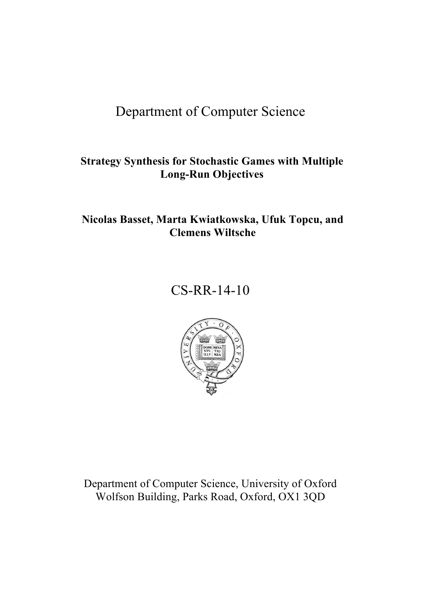# <span id="page-0-0"></span>Department of Computer Science

# **Strategy Synthesis for Stochastic Games with Multiple Long-Run Objectives**

# **Nicolas Basset, Marta Kwiatkowska, Ufuk Topcu, and Clemens Wiltsche**

# CS-RR-14-10



Department of Computer Science, University of Oxford Wolfson Building, Parks Road, Oxford, OX1 3QD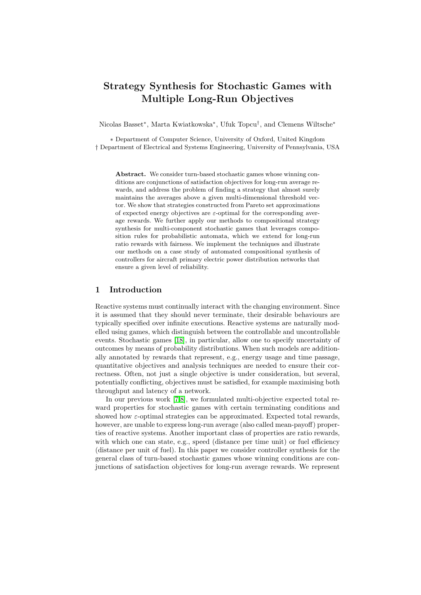# Strategy Synthesis for Stochastic Games with Multiple Long-Run Objectives

Nicolas Basset<sup>∗</sup> , Marta Kwiatkowska<sup>∗</sup> , Ufuk Topcu† , and Clemens Wiltsche<sup>∗</sup>

∗ Department of Computer Science, University of Oxford, United Kingdom † Department of Electrical and Systems Engineering, University of Pennsylvania, USA

Abstract. We consider turn-based stochastic games whose winning conditions are conjunctions of satisfaction objectives for long-run average rewards, and address the problem of finding a strategy that almost surely maintains the averages above a given multi-dimensional threshold vector. We show that strategies constructed from Pareto set approximations of expected energy objectives are  $\varepsilon$ -optimal for the corresponding average rewards. We further apply our methods to compositional strategy synthesis for multi-component stochastic games that leverages composition rules for probabilistic automata, which we extend for long-run ratio rewards with fairness. We implement the techniques and illustrate our methods on a case study of automated compositional synthesis of controllers for aircraft primary electric power distribution networks that ensure a given level of reliability.

# 1 Introduction

Reactive systems must continually interact with the changing environment. Since it is assumed that they should never terminate, their desirable behaviours are typically specified over infinite executions. Reactive systems are naturally modelled using games, which distinguish between the controllable and uncontrollable events. Stochastic games [\[18\]](#page-15-0), in particular, allow one to specify uncertainty of outcomes by means of probability distributions. When such models are additionally annotated by rewards that represent, e.g., energy usage and time passage, quantitative objectives and analysis techniques are needed to ensure their correctness. Often, not just a single objective is under consideration, but several, potentially conflicting, objectives must be satisfied, for example maximising both throughput and latency of a network.

In our previous work [\[7](#page-14-0)[,8\]](#page-14-1), we formulated multi-objective expected total reward properties for stochastic games with certain terminating conditions and showed how  $\varepsilon$ -optimal strategies can be approximated. Expected total rewards, however, are unable to express long-run average (also called mean-payoff) properties of reactive systems. Another important class of properties are ratio rewards, with which one can state, e.g., speed (distance per time unit) or fuel efficiency (distance per unit of fuel). In this paper we consider controller synthesis for the general class of turn-based stochastic games whose winning conditions are conjunctions of satisfaction objectives for long-run average rewards. We represent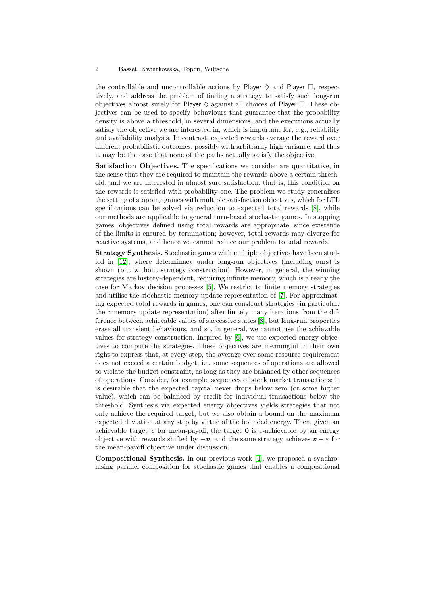the controllable and uncontrollable actions by Player  $\Diamond$  and Player  $\Box$ , respectively, and address the problem of finding a strategy to satisfy such long-run objectives almost surely for Player  $\Diamond$  against all choices of Player  $\Box$ . These objectives can be used to specify behaviours that guarantee that the probability density is above a threshold, in several dimensions, and the executions actually satisfy the objective we are interested in, which is important for, e.g., reliability and availability analysis. In contrast, expected rewards average the reward over different probabilistic outcomes, possibly with arbitrarily high variance, and thus it may be the case that none of the paths actually satisfy the objective.

Satisfaction Objectives. The specifications we consider are quantitative, in the sense that they are required to maintain the rewards above a certain threshold, and we are interested in almost sure satisfaction, that is, this condition on the rewards is satisfied with probability one. The problem we study generalises the setting of stopping games with multiple satisfaction objectives, which for LTL specifications can be solved via reduction to expected total rewards [\[8\]](#page-14-1), while our methods are applicable to general turn-based stochastic games. In stopping games, objectives defined using total rewards are appropriate, since existence of the limits is ensured by termination; however, total rewards may diverge for reactive systems, and hence we cannot reduce our problem to total rewards.

Strategy Synthesis. Stochastic games with multiple objectives have been studied in [\[12\]](#page-14-2), where determinacy under long-run objectives (including ours) is shown (but without strategy construction). However, in general, the winning strategies are history-dependent, requiring infinite memory, which is already the case for Markov decision processes [\[5\]](#page-14-3). We restrict to finite memory strategies and utilise the stochastic memory update representation of [\[7\]](#page-14-0). For approximating expected total rewards in games, one can construct strategies (in particular, their memory update representation) after finitely many iterations from the difference between achievable values of successive states [\[8\]](#page-14-1), but long-run properties erase all transient behaviours, and so, in general, we cannot use the achievable values for strategy construction. Inspired by [\[6\]](#page-14-4), we use expected energy objectives to compute the strategies. These objectives are meaningful in their own right to express that, at every step, the average over some resource requirement does not exceed a certain budget, i.e. some sequences of operations are allowed to violate the budget constraint, as long as they are balanced by other sequences of operations. Consider, for example, sequences of stock market transactions: it is desirable that the expected capital never drops below zero (or some higher value), which can be balanced by credit for individual transactions below the threshold. Synthesis via expected energy objectives yields strategies that not only achieve the required target, but we also obtain a bound on the maximum expected deviation at any step by virtue of the bounded energy. Then, given an achievable target v for mean-payoff, the target **0** is  $\varepsilon$ -achievable by an energy objective with rewards shifted by  $-v$ , and the same strategy achieves  $v - \varepsilon$  for the mean-payoff objective under discussion.

Compositional Synthesis. In our previous work [\[4\]](#page-14-5), we proposed a synchronising parallel composition for stochastic games that enables a compositional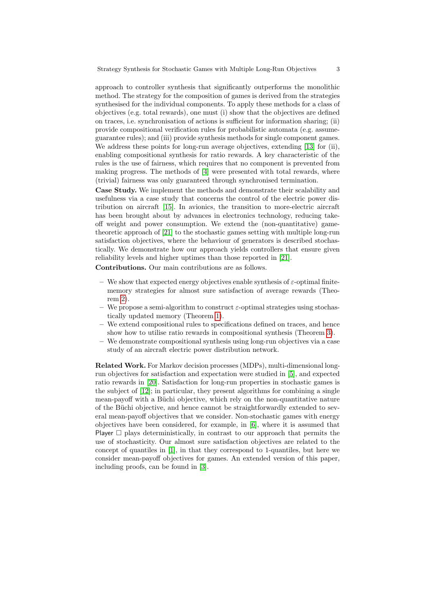approach to controller synthesis that significantly outperforms the monolithic method. The strategy for the composition of games is derived from the strategies synthesised for the individual components. To apply these methods for a class of objectives (e.g. total rewards), one must (i) show that the objectives are defined on traces, i.e. synchronisation of actions is sufficient for information sharing; (ii) provide compositional verification rules for probabilistic automata (e.g. assumeguarantee rules); and (iii) provide synthesis methods for single component games. We address these points for long-run average objectives, extending [\[13\]](#page-14-6) for (ii), enabling compositional synthesis for ratio rewards. A key characteristic of the rules is the use of fairness, which requires that no component is prevented from making progress. The methods of [\[4\]](#page-14-5) were presented with total rewards, where (trivial) fairness was only guaranteed through synchronised termination.

Case Study. We implement the methods and demonstrate their scalability and usefulness via a case study that concerns the control of the electric power distribution on aircraft [\[15\]](#page-14-7). In avionics, the transition to more-electric aircraft has been brought about by advances in electronics technology, reducing takeoff weight and power consumption. We extend the (non-quantitative) gametheoretic approach of [\[21\]](#page-15-1) to the stochastic games setting with multiple long-run satisfaction objectives, where the behaviour of generators is described stochastically. We demonstrate how our approach yields controllers that ensure given reliability levels and higher uptimes than those reported in [\[21\]](#page-15-1).

Contributions. Our main contributions are as follows.

- We show that expected energy objectives enable synthesis of  $\varepsilon$ -optimal finitememory strategies for almost sure satisfaction of average rewards (Theorem [2\)](#page-9-0).
- We propose a semi-algorithm to construct  $\varepsilon$ -optimal strategies using stochastically updated memory (Theorem [1\)](#page-9-1).
- We extend compositional rules to specifications defined on traces, and hence show how to utilise ratio rewards in compositional synthesis (Theorem [3\)](#page-10-0).
- We demonstrate compositional synthesis using long-run objectives via a case study of an aircraft electric power distribution network.

Related Work. For Markov decision processes (MDPs), multi-dimensional longrun objectives for satisfaction and expectation were studied in [\[5\]](#page-14-3), and expected ratio rewards in [\[20\]](#page-15-2). Satisfaction for long-run properties in stochastic games is the subject of [\[12\]](#page-14-2); in particular, they present algorithms for combining a single mean-payoff with a Büchi objective, which rely on the non-quantitative nature of the Büchi objective, and hence cannot be straightforwardly extended to several mean-payoff objectives that we consider. Non-stochastic games with energy objectives have been considered, for example, in [\[6\]](#page-14-4), where it is assumed that Player  $\Box$  plays deterministically, in contrast to our approach that permits the use of stochasticity. Our almost sure satisfaction objectives are related to the concept of quantiles in [\[1\]](#page-14-8), in that they correspond to 1-quantiles, but here we consider mean-payoff objectives for games. An extended version of this paper, including proofs, can be found in [\[3\]](#page-14-9).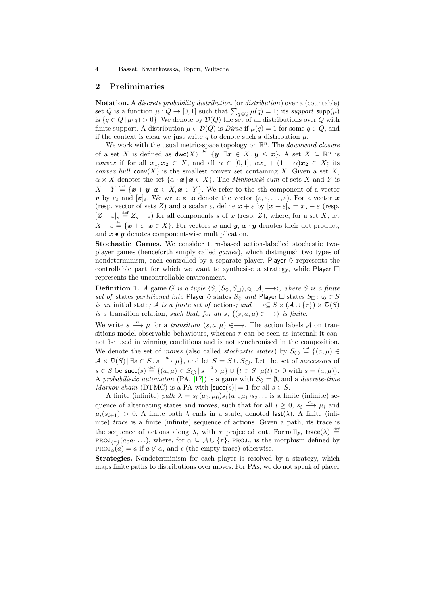# 2 Preliminaries

Notation. A *discrete probability distribution* (or *distribution*) over a (countable) set Q is a function  $\mu: Q \to [0, 1]$  such that  $\sum_{q \in Q} \mu(q) = 1$ ; its *support* supp $(\mu)$ is  $\{q \in Q \mid \mu(q) > 0\}$ . We denote by  $\mathcal{D}(Q)$  the set of all distributions over Q with finite support. A distribution  $\mu \in \mathcal{D}(Q)$  is *Dirac* if  $\mu(q) = 1$  for some  $q \in Q$ , and if the context is clear we just write q to denote such a distribution  $\mu$ .

We work with the usual metric-space topology on  $\mathbb{R}^n$ . The *downward closure* of a set X is defined as  $\mathsf{dwc}(X) \stackrel{\text{def}}{=} \{ \bm{y} \mid \exists \bm{x} \in X \cdot \bm{y} \leq \bm{x} \}$ . A set  $X \subseteq \mathbb{R}^n$  is *convex* if for all  $x_1, x_2 \in X$ , and all  $\alpha \in [0, 1]$ ,  $\alpha x_1 + (1 - \alpha)x_2 \in X$ ; its *convex hull*  $conv(X)$  is the smallest convex set containing X. Given a set X,  $\alpha \times X$  denotes the set  $\{\alpha \cdot x \mid x \in X\}$ . The *Minkowski sum* of sets X and Y is  $X + Y \stackrel{\text{def}}{=} {\mathbf{x} + \mathbf{y} | \mathbf{x} \in X, \mathbf{x} \in Y}.$  We refer to the sth component of a vector v by  $v_s$  and  $[v]_s$ . We write  $\varepsilon$  to denote the vector  $(\varepsilon,\varepsilon,\ldots,\varepsilon)$ . For a vector x (resp. vector of sets Z) and a scalar  $\varepsilon$ , define  $\mathbf{x} + \varepsilon$  by  $[\mathbf{x} + \varepsilon]_s = x_s + \varepsilon$  (resp.  $[Z + \varepsilon]_s \stackrel{\text{def}}{=} Z_s + \varepsilon$  for all components s of  $x$  (resp. Z), where, for a set X, let  $X + \varepsilon \stackrel{\text{def}}{=} {\mathbf{x} + \varepsilon | \mathbf{x} \in X}$ . For vectors  $\mathbf{x}$  and  $\mathbf{y}, \mathbf{x} \cdot \mathbf{y}$  denotes their dot-product, and  $x \cdot y$  denotes component-wise multiplication.

Stochastic Games. We consider turn-based action-labelled stochastic twoplayer games (henceforth simply called *games*), which distinguish two types of nondeterminism, each controlled by a separate player. Player  $\Diamond$  represents the controllable part for which we want to synthesise a strategy, while Player  $\Box$ represents the uncontrollable environment.

**Definition 1.** *A* game *G is a tuple*  $\langle S, (S_{\Diamond}, S_{\Box}), \varsigma_0, \mathcal{A}, \longrightarrow \rangle$ *, where S is a finite set of* states *partitioned into* Player  $\Diamond$  states  $S_{\Diamond}$  *and* Player  $\Box$  states  $S_{\Box}$ ;  $\varsigma_0 \in S$ *is an* initial state; A *is a finite set of* actions; and  $\rightarrow \subseteq S \times (A \cup \{\tau\}) \times \mathcal{D}(S)$ *is a* transition relation, *such that, for all s,*  $\{(s, a, \mu) \in \longrightarrow\}$  *is finite.* 

We write  $s \stackrel{a}{\longrightarrow} \mu$  for a *transition*  $(s, a, \mu) \in \longrightarrow$ . The action labels A on transitions model observable behaviours, whereas  $\tau$  can be seen as internal: it cannot be used in winning conditions and is not synchronised in the composition. We denote the set of *moves* (also called *stochastic states*) by  $S_{\bigcirc} \stackrel{\text{def}}{=} \{(a,\mu) \in$  $\mathcal{A} \times \mathcal{D}(S) \vert \exists s \in S \ldotp s \stackrel{a}{\longrightarrow} \mu$ , and let  $\overline{S} = S \cup S_{\bigcirc}$ . Let the set of *successors* of  $s \in \overline{S}$  be succ $(s) \stackrel{\text{def}}{=} \{(a,\mu) \in S_{\bigcirc} \mid s \stackrel{a}{\longrightarrow} \mu\} \cup \{t \in S \mid \mu(t) > 0 \text{ with } s = (a,\mu)\}.$ A *probabilistic automaton* (PA, [\[17\]](#page-15-3)) is a game with  $S_{\lozenge} = \emptyset$ , and a *discrete-time Markov chain* (DTMC) is a PA with  $|\text{succ}(s)| = 1$  for all  $s \in S$ .

A finite (infinite) *path*  $\lambda = s_0(a_0, \mu_0)s_1(a_1, \mu_1)s_2...$  is a finite (infinite) sequence of alternating states and moves, such that for all  $i \geq 0$ ,  $s_i \stackrel{a_i}{\longrightarrow} \mu_i$  and  $\mu_i(s_{i+1}) > 0$ . A finite path  $\lambda$  ends in a state, denoted last( $\lambda$ ). A finite (infinite) *trace* is a finite (infinite) sequence of actions. Given a path, its trace is the sequence of actions along  $\lambda$ , with  $\tau$  projected out. Formally, trace( $\lambda$ )  $\stackrel{\text{def}}{=}$ PROJ<sub>{ $\tau$ }</sub>( $a_0a_1 \ldots$ ), where, for  $\alpha \subseteq \mathcal{A} \cup \{\tau\}$ , PROJ<sub> $\alpha$ </sub> is the morphism defined by  $PROJ_{\alpha}(a) = a$  if  $a \notin \alpha$ , and  $\epsilon$  (the empty trace) otherwise.

Strategies. Nondeterminism for each player is resolved by a strategy, which maps finite paths to distributions over moves. For PAs, we do not speak of player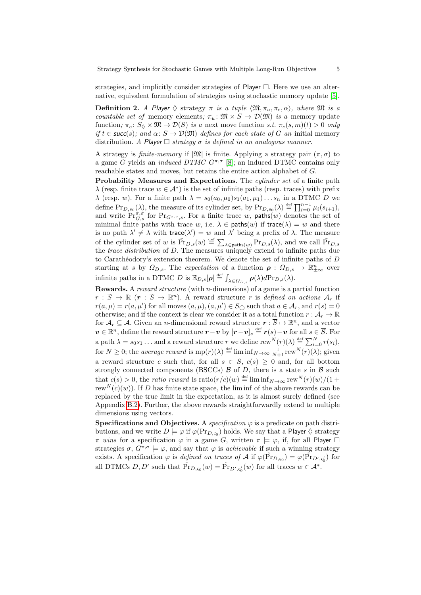<span id="page-5-0"></span>strategies, and implicitly consider strategies of Player  $\Box$ . Here we use an alternative, equivalent formulation of strategies using stochastic memory update [\[5\]](#page-14-3).

**Definition 2.** *A Player*  $\Diamond$  strategy  $\pi$  *is a tuple*  $\langle \mathfrak{M}, \pi_u, \pi_c, \alpha \rangle$ *, where*  $\mathfrak{M}$  *is a countable set of* memory elements;  $\pi_u: \mathfrak{M} \times S \to \mathcal{D}(\mathfrak{M})$  *is a* memory update function;  $\pi_c$ :  $S_{\Diamond} \times \mathfrak{M} \to \mathcal{D}(S)$  *is a* next move function *s.t.*  $\pi_c(s, m)(t) > 0$  *only if*  $t \in \text{succ}(s)$ *;* and  $\alpha \colon S \to \mathcal{D}(\mathfrak{M})$  *defines for each state of* G *an* initial memory distribution. A Player  $\Box$  strategy  $\sigma$  *is defined in an analogous manner.* 

A strategy is *finite-memory* if  $|\mathfrak{M}|$  is finite. Applying a strategy pair  $(\pi, \sigma)$  to a game G yields an *induced DTMC*  $G^{\pi,\sigma}$  [\[8\]](#page-14-1); an induced DTMC contains only reachable states and moves, but retains the entire action alphabet of G.

Probability Measures and Expectations. The *cylinder set* of a finite path  $\lambda$  (resp. finite trace  $w \in \mathcal{A}^*$ ) is the set of infinite paths (resp. traces) with prefix  $\lambda$  (resp. w). For a finite path  $\lambda = s_0(a_0, \mu_0)s_1(a_1, \mu_1)...s_n$  in a DTMC D we define  $Pr_{D,s_0}(\lambda)$ , the measure of its cylinder set, by  $Pr_{D,s_0}(\lambda) \stackrel{\text{def}}{=} \prod_{i=0}^{n-1} \mu_i(s_{i+1}),$ and write  $Pr_{G,s}^{\pi,\sigma}$  for  $Pr_{G^{\pi,\sigma},s}$ . For a finite trace w, paths $(w)$  denotes the set of minimal finite paths with trace w, i.e.  $\lambda \in \text{paths}(w)$  if trace( $\lambda$ ) = w and there is no path  $\lambda' \neq \lambda$  with trace( $\lambda'$ ) = w and  $\lambda'$  being a prefix of  $\lambda$ . The measure of the cylinder set of w is  $\tilde{Pr}_{D,s}(w) \stackrel{\text{def}}{=} \sum_{\lambda \in \text{paths}(w)} \Pr_{D,s}(\lambda)$ , and we call  $\tilde{Pr}_{D,s}$ the *trace distribution* of D. The measures uniquely extend to infinite paths due to Carathéodory's extension theorem. We denote the set of infinite paths of  $D$ starting at s by  $\Omega_{D,s}$ . The *expectation* of a function  $\rho : \Omega_{D,s} \to \mathbb{R}^n_{\pm\infty}$  over infinite paths in a DTMC D is  $\mathbb{E}_{D,s}[\rho] \stackrel{\text{def}}{=} \int_{\lambda \in \Omega_{D,s}} \rho(\lambda) d\text{Pr}_{D,s}(\lambda)$ .

Rewards. A *reward structure* (with n-dimensions) of a game is a partial function  $r : \overline{S} \to \mathbb{R}$   $(r : \overline{S} \to \mathbb{R}^n)$ . A reward structure r is *defined on actions*  $\mathcal{A}_r$  if  $r(a,\mu) = r(a,\mu')$  for all moves  $(a,\mu), (a,\mu') \in S_{\bigcirc}$  such that  $a \in \mathcal{A}_r$ , and  $r(s) = 0$ otherwise; and if the context is clear we consider it as a total function  $r : A_r \to \mathbb{R}$ for  $\mathcal{A}_r \subseteq \mathcal{A}$ . Given an *n*-dimensional reward structure  $r : \overline{S} \mapsto \mathbb{R}^n$ , and a vector  $v \in \mathbb{R}^n$ , define the reward structure  $r - v$  by  $[r - v]_s \stackrel{\text{def}}{=} r(s) - v$  for all  $s \in \overline{S}$ . For a path  $\lambda = s_0 s_1 \dots$  and a reward structure r we define rew  $N(r)(\lambda) \stackrel{\text{def}}{=} \sum_{i=0}^{N} r(s_i)$ , for  $N \geq 0$ ; the *average reward* is  $mp(r)(\lambda) \stackrel{\text{def}}{=} \liminf_{N \to \infty} \frac{1}{N+1} \text{rew}^N(r)(\lambda)$ ; given a reward structure c such that, for all  $s \in \overline{S}$ ,  $c(s) \geq 0$  and, for all bottom strongly connected components (BSCCs)  $\beta$  of  $D$ , there is a state s in  $\beta$  such that  $c(s) > 0$ , the *ratio reward* is  $\text{ratio}(r/c)(w) \stackrel{\text{def}}{=} \liminf_{N \to \infty} \text{rew}^N(r)(w)/(1 +$ rew<sup>N</sup>(c)(w)). If D has finite state space, the lim inf of the above rewards can be replaced by the true limit in the expectation, as it is almost surely defined (see Appendix [B.2\)](#page-16-0). Further, the above rewards straightforwardly extend to multiple dimensions using vectors.

Specifications and Objectives. A *specification*  $\varphi$  is a predicate on path distributions, and we write  $D \models \varphi$  if  $\varphi(\text{Pr}_{D,\varsigma_0})$  holds. We say that a Player  $\Diamond$  strategy  $\pi$  *wins* for a specification  $\varphi$  in a game G, written  $\pi \models \varphi$ , if, for all Player  $\Box$ strategies  $\sigma$ ,  $G^{\pi,\sigma} \models \varphi$ , and say that  $\varphi$  is *achievable* if such a winning strategy exists. A specification  $\varphi$  is *defined on traces of* A if  $\varphi(\tilde{Pr}_{D,\varsigma_0}) = \varphi(\tilde{Pr}_{D',\varsigma'_0})$  for all DTMCs  $D, D'$  such that  $\tilde{\Pr}_{D, \varsigma_0}(w) = \tilde{\Pr}_{D', \varsigma'_0}(w)$  for all traces  $w \in A^*$ .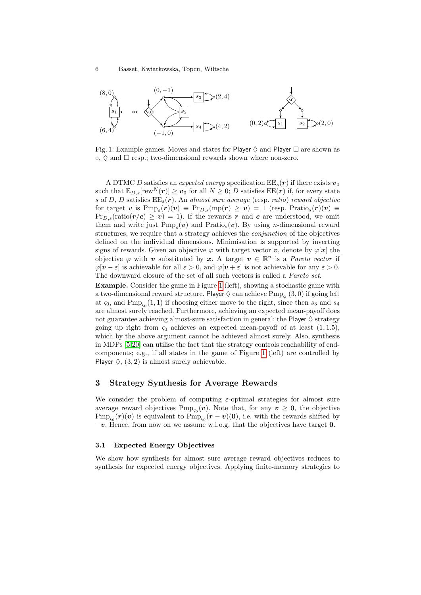<span id="page-6-1"></span>

<span id="page-6-0"></span>Fig. 1: Example games. Moves and states for Player  $\Diamond$  and Player  $\Box$  are shown as  $\circ$ ,  $\Diamond$  and  $\Box$  resp.; two-dimensional rewards shown where non-zero.

A DTMC D satisfies an *expected energy* specification  $EE_s(\mathbf{r})$  if there exists  $\mathbf{v}_0$ such that  $\mathbb{E}_{D,s}[\text{rew}^N(\boldsymbol{r})] \geq v_0$  for all  $N \geq 0$ ; D satisfies  $\text{EE}(\boldsymbol{r})$  if, for every state s of D, D satisfies EEs(r). An *almost sure average* (resp. *ratio*) *reward objective* for target v is  $\text{Pmp}_s(\bm{r})(\bm{v}) \equiv \text{Pr}_{D,s}(\text{mp}(\bm{r}) \geq \bm{v}) = 1$  (resp.  $\text{Pratio}_s(\bm{r})(\bm{v}) \equiv$  $Pr_{D,s}(ratio(r/c) \ge v) = 1$ . If the rewards r and c are understood, we omit them and write just  $Pmp<sub>s</sub>(v)$  and  $Pratio<sub>s</sub>(v)$ . By using *n*-dimensional reward structures, we require that a strategy achieves the *conjunction* of the objectives defined on the individual dimensions. Minimisation is supported by inverting signs of rewards. Given an objective  $\varphi$  with target vector v, denote by  $\varphi[\mathbf{x}]$  the objective  $\varphi$  with v substituted by x. A target  $v \in \mathbb{R}^n$  is a *Pareto vector* if  $\varphi[\mathbf{v} - \varepsilon]$  is achievable for all  $\varepsilon > 0$ , and  $\varphi[\mathbf{v} + \varepsilon]$  is not achievable for any  $\varepsilon > 0$ . The downward closure of the set of all such vectors is called a *Pareto set*.

<span id="page-6-2"></span>Example. Consider the game in Figure [1](#page-5-0) (left), showing a stochastic game with a two-dimensional reward structure. Player  $\Diamond$  can achieve  $\mathrm{Pmp}_{\varsigma_0}(3,0)$  if going left at  $\varsigma_0$ , and  $\text{Pmp}_{\varsigma_0}(1,1)$  if choosing either move to the right, since then  $s_3$  and  $s_4$ are almost surely reached. Furthermore, achieving an expected mean-payoff does not guarantee achieving almost-sure satisfaction in general: the Player  $\diamond$  strategy going up right from  $\varsigma_0$  achieves an expected mean-payoff of at least  $(1, 1.5)$ , which by the above argument cannot be achieved almost surely. Also, synthesis in MDPs [\[5,](#page-14-3)[20\]](#page-15-2) can utilise the fact that the strategy controls reachability of endcomponents; e.g., if all states in the game of Figure [1](#page-5-0) (left) are controlled by Player  $\Diamond$ ,  $(3, 2)$  is almost surely achievable.

# 3 Strategy Synthesis for Average Rewards

We consider the problem of computing  $\varepsilon$ -optimal strategies for almost sure average reward objectives  $\text{Pmp}_{\varsigma_0}(\boldsymbol{v})$ . Note that, for any  $\boldsymbol{v} \geq 0$ , the objective  $\text{Pmp}_{\varsigma_0}(\bm{r})(\bm{v})$  is equivalent to  $\text{Pmp}_{\varsigma_0}(\bm{r}-\bm{v})(\bm{0}),$  i.e. with the rewards shifted by  $-v$ . Hence, from now on we assume w.l.o.g. that the objectives have target 0.

# 3.1 Expected Energy Objectives

We show how synthesis for almost sure average reward objectives reduces to synthesis for expected energy objectives. Applying finite-memory strategies to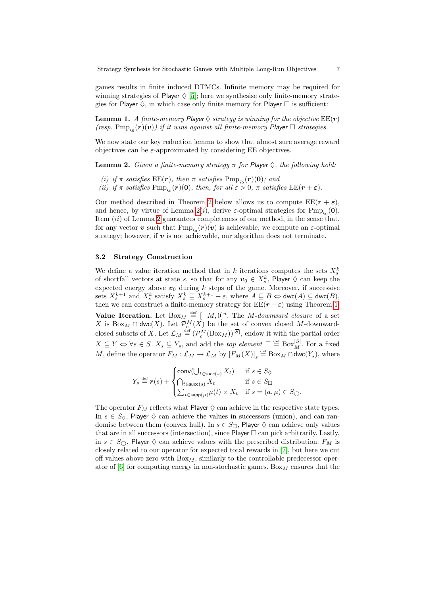<span id="page-7-0"></span>games results in finite induced DTMCs. Infinite memory may be required for winning strategies of Player  $\Diamond$  [\[5\]](#page-14-3); here we synthesise only finite-memory strategies for Player  $\Diamond$ , in which case only finite memory for Player  $\Box$  is sufficient:

**Lemma 1.** *A finite-memory Player*  $\diamond$  *strategy is winning for the objective*  $EE(\mathbf{r})$ *(resp.*  $\text{Pmp}_{\varsigma_0}(\boldsymbol{r})(\boldsymbol{v})$ ) if it wins against all finite-memory Player  $\Box$  strategies.

We now state our key reduction lemma to show that almost sure average reward objectives can be  $\varepsilon$ -approximated by considering EE objectives.

**Lemma 2.** *Given a finite-memory strategy*  $\pi$  *for Player*  $\Diamond$ *, the following hold:* 

- *(i)* if  $\pi$  *satisfies*  $\text{EE}(\mathbf{r})$ *, then*  $\pi$  *satisfies*  $\text{Pmp}_{\varsigma_0}(\mathbf{r})(0)$ *; and*
- *(ii)* if  $\pi$  *satisfies*  $\text{Pmp}_{\varsigma_0}(\boldsymbol{r})(0)$ *, then, for all*  $\epsilon > 0$ *,*  $\pi$  *satisfies*  $\text{EE}(\boldsymbol{r} + \boldsymbol{\epsilon})$ *.*

Our method described in Theorem [2](#page-9-0) below allows us to compute  $\text{EE}(r + \varepsilon)$ , and hence, by virtue of Lemma [2\(](#page-6-0)*i*), derive  $\varepsilon$ -optimal strategies for  $\text{Pmp}_{\varsigma_0}(\mathbf{0})$ . Item  $(ii)$  of Lemma [2](#page-6-0) guarantees completeness of our method, in the sense that, for any vector  $\bm{v}$  such that  $\text{Pmp}_{\varsigma_0}(\bm{r})(\bm{v})$  is achievable, we compute an  $\varepsilon$ -optimal strategy; however, if  $v$  is not achievable, our algorithm does not terminate.

#### 3.2 Strategy Construction

We define a value iteration method that in k iterations computes the sets  $X_s^k$ of shortfall vectors at state s, so that for any  $v_0 \in X_s^k$ , Player  $\diamondsuit$  can keep the expected energy above  $v_0$  during k steps of the game. Moreover, if successive sets  $X_s^{k+1}$  and  $X_s^k$  satisfy  $X_s^k \subseteq X_s^{k+1} + \varepsilon$ , where  $A \subseteq B \Leftrightarrow \textsf{dwc}(A) \subseteq \textsf{dwc}(B)$ , then we can construct a finite-memory strategy for  $EE(r + \varepsilon)$  using Theorem [1.](#page-9-1) **Value Iteration.** Let  $Box_M \stackrel{\text{def}}{=} [-M, 0]^n$ . The M-*downward closure* of a set X is  $Box_M \cap dwc(X)$ . Let  $\mathcal{P}_c^M(X)$  be the set of convex closed M-downwardclosed subsets of X. Let  $\mathcal{L}_M \stackrel{\text{def}}{=} (\mathcal{P}_c^M(\text{Box}_M))^{[S]}$ , endow it with the partial order  $X \subseteq Y \Leftrightarrow \forall s \in \overline{S} \, . \, X_s \subseteq Y_s$ , and add the *top element*  $\top \stackrel{\text{def}}{=} \text{Box}_{M}^{|S|}$ . For a fixed M, define the operator  $F_M: \mathcal{L}_M \to \mathcal{L}_M$  by  $[F_M(X)]_s \stackrel{\text{def}}{=} \text{Box}_M \cap \text{dwc}(Y_s)$ , where

<span id="page-7-2"></span>
$$
Y_s \stackrel{\text{def}}{=} \mathbf{r}(s) + \begin{cases} \text{conv}(\bigcup_{t \in \text{succ}(s)} X_t) & \text{if } s \in S_{\Diamond} \\ \bigcap_{t \in \text{succ}(s)} X_t & \text{if } s \in S_{\Box} \\ \sum_{t \in \text{supp}(\mu)} \mu(t) \times X_t & \text{if } s = (a, \mu) \in S_{\bigcirc}. \end{cases}
$$

<span id="page-7-1"></span>The operator  $F_M$  reflects what Player  $\Diamond$  can achieve in the respective state types. In  $s \in S_0$ , Player  $\Diamond$  can achieve the values in successors (union), and can randomise between them (convex hull). In  $s \in S_{\Box}$ , Player  $\diamondsuit$  can achieve only values that are in all successors (intersection), since  $\mathsf{Player} \ \Box$  can pick arbitrarily. Lastly, in  $s \in S_{\bigcirc}$ , Player  $\diamondsuit$  can achieve values with the prescribed distribution.  $F_M$  is closely related to our operator for expected total rewards in [\[7\]](#page-14-0), but here we cut off values above zero with  $Box_M$ , similarly to the controllable predecessor operator of  $[6]$  for computing energy in non-stochastic games. Box<sub>M</sub> ensures that the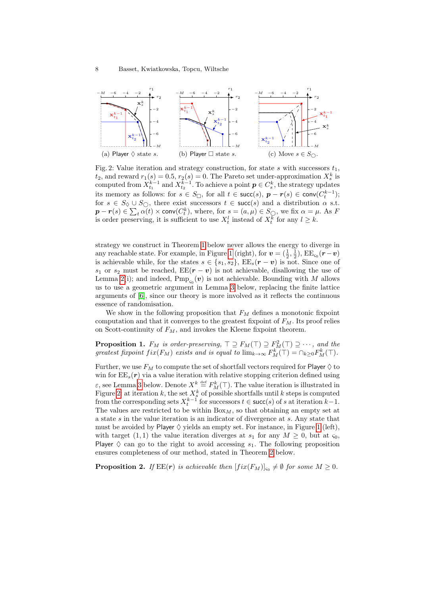

<span id="page-8-0"></span>Fig. 2: Value iteration and strategy construction, for state s with successors  $t_1$ ,  $t_2$ , and reward  $r_1(s) = 0.5$ ,  $r_2(s) = 0$ . The Pareto set under-approximation  $X_s^k$  is computed from  $X_{t_1}^{k-1}$  and  $X_{t_2}^{k-1}$ . To achieve a point  $p \in C_s^k$ , the strategy updates its memory as follows: for  $s \in S_{\Box}$ , for all  $t \in \mathsf{succ}(s)$ ,  $\mathbf{p} - \mathbf{r}(s) \in \mathsf{conv}(C_t^{k-1})$ ; for  $s \in S_0 \cup S_0$ , there exist successors  $t \in \text{succ}(s)$  and a distribution  $\alpha$  s.t.  $\bm{p}-\bm{r}(s)\in\sum_{t}\alpha(t)\times\textsf{conv}(C_{t}^{k}),$  where, for  $s=(a,\mu)\in S_{\bigcirc}$ , we fix  $\alpha=\mu$ . As F is order preserving, it is sufficient to use  $X_t^l$  instead of  $X_t^k$  for any  $l \geq k$ .

strategy we construct in Theorem [1](#page-9-1) below never allows the energy to diverge in any reachable state. For example, in Figure [1](#page-5-0) (right), for  $v = (\frac{1}{2}, \frac{1}{2})$ ,  $EE_{\varsigma_0}(r-v)$ is achievable while, for the states  $s \in \{s_1, s_2\}$ ,  $\text{EE}_s(\mathbf{r} - \mathbf{v})$  is not. Since one of s<sub>1</sub> or s<sub>2</sub> must be reached,  $EE(\mathbf{r} - \mathbf{v})$  is not achievable, disallowing the use of Lemma [2\(](#page-6-0)i); and indeed,  $\text{Pmp}_{\varsigma_0}(\boldsymbol{v})$  is not achievable. Bounding with M allows us to use a geometric argument in Lemma [3](#page-8-0) below, replacing the finite lattice arguments of [\[6\]](#page-14-4), since our theory is more involved as it reflects the continuous essence of randomisation.

We show in the following proposition that  $F_M$  defines a monotonic fixpoint computation and that it converges to the greatest fixpoint of  $F<sub>M</sub>$ . Its proof relies on Scott-continuity of  $F_M$ , and invokes the Kleene fixpoint theorem.

**Proposition 1.**  $F_M$  is order-preserving,  $\top \supseteq F_M(\top) \supseteq F_M^2(\top) \supseteq \cdots$ , and the *greatest fixpoint fix*( $F_M$ ) *exists and is equal to*  $\lim_{k\to\infty} F_M^k(\top) = \bigcap_{k\geq 0} F_M^k(\top)$ .

Further, we use  $F_M$  to compute the set of shortfall vectors required for Player  $\diamondsuit$  to win for  $\text{EE}_s(\boldsymbol{r})$  via a value iteration with relative stopping criterion defined using  $\varepsilon$ , see Lemma [3](#page-8-0) below. Denote  $X^k \stackrel{\text{def}}{=} F^k_M(\top)$ . The value iteration is illustrated in Figure [2:](#page-7-0) at iteration k, the set  $X_s^k$  of possible shortfalls until k steps is computed from the corresponding sets  $X_t^{k-1}$  for successors  $t \in \text{succ}(s)$  of s at iteration  $k-1$ . The values are restricted to be within  $Box_M$ , so that obtaining an empty set at a state s in the value iteration is an indicator of divergence at s. Any state that must be avoided by Player  $\Diamond$  yields an empty set. For instance, in Figure [1](#page-5-0) (left), with target (1, 1) the value iteration diverges at  $s_1$  for any  $M \geq 0$ , but at  $\varsigma_0$ , Player  $\diamond$  can go to the right to avoid accessing  $s_1$ . The following proposition ensures completeness of our method, stated in Theorem [2](#page-9-0) below.

**Proposition 2.** If  $\text{EE}(r)$  is achievable then  $[fix(F_M)]_{\varsigma_0} \neq \emptyset$  for some  $M \geq 0$ .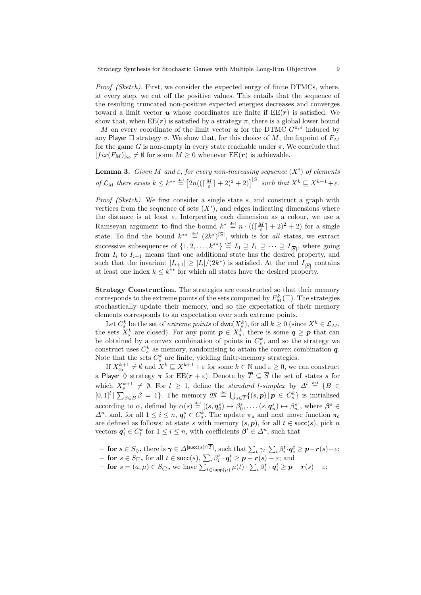*Proof (Sketch).* First, we consider the expected enrgy of finite DTMCs, where, at every step, we cut off the positive values. This entails that the sequence of the resulting truncated non-positive expected energies decreases and converges toward a limit vector  $u$  whose coordinates are finite if  $EE(r)$  is satisfied. We show that, when  $\text{EE}(r)$  is satisfied by a strategy  $\pi$ , there is a global lower bound  $-M$  on every coordinate of the limit vector u for the DTMC  $G^{\pi,\sigma}$  induced by any Player  $\Box$  strategy  $\sigma$ . We show that, for this choice of M, the fixpoint of  $F_M$ for the game G is non-empty in every state reachable under  $\pi$ . We conclude that  $[fix(F_M)]_{\varsigma_0} \neq \emptyset$  for some  $M \geq 0$  whenever  $\text{EE}(\mathbf{r})$  is achievable.

**Lemma 3.** *Given* M and  $\varepsilon$ , for every non-increasing sequence  $(X<sup>i</sup>)$  of elements *of*  $\mathcal{L}_M$  *there exists*  $k \leq k^{**} \stackrel{\text{def}}{=} \left[2n((\lceil \frac{M}{\varepsilon} \rceil + 2)^2 + 2)\right]^{|S|}$  *such that*  $X^k \sqsubseteq X^{k+1} + \varepsilon$ *.* 

<span id="page-9-1"></span>*Proof (Sketch)*. We first consider a single state s, and construct a graph with vertices from the sequence of sets  $(X<sup>i</sup>)$ , and edges indicating dimensions where the distance is at least  $\varepsilon$ . Interpreting each dimension as a colour, we use a Ramseyan argument to find the bound  $\underline{k}^* \stackrel{\text{def}}{=} n \cdot ((\lceil \frac{M}{\varepsilon} \rceil + 2)^2 + 2)$  for a single state. To find the bound  $k^{**} \stackrel{\text{def}}{=} (2k^*)^{|S|}$ , which is for *all* states, we extract successive subsequences of  $\{1, 2, ..., k^{**}\}\stackrel{\text{def}}{=} I_0 \supseteq I_1 \supseteq \cdots \supseteq I_{|\overline{S}|}$ , where going from  $I_i$  to  $I_{i+1}$  means that one additional state has the desired property, and such that the invariant  $|I_{i+1}| \geq |I_i|/(2k^*)$  is satisfied. At the end  $I_{|\overline{S}|}$  contains at least one index  $k \leq k^{**}$  for which all states have the desired property.

Strategy Construction. The strategies are constructed so that their memory corresponds to the extreme points of the sets computed by  $F_M^k(\top)$ . The strategies stochastically update their memory, and so the expectation of their memory elements corresponds to an expectation over such extreme points.

<span id="page-9-0"></span>Let  $C_s^k$  be the set of *extreme points* of  $\text{dwc}(X_s^k)$ , for all  $k \geq 0$  (since  $X^k \in \mathcal{L}_M$ , the sets  $X_s^k$  are closed). For any point  $p \in X_s^k$ , there is some  $q \geq p$  that can be obtained by a convex combination of points in  $C_s^k$ , and so the strategy we construct uses  $C_s^k$  as memory, randomising to attain the convex combination  $q$ . Note that the sets  $C_s^k$  are finite, yielding finite-memory strategies.

If  $X_{\varsigma_{0}}^{k+1} \neq \emptyset$  and  $X^{k} \sqsubseteq X^{k+1} + \varepsilon$  for some  $k \in \mathbb{N}$  and  $\varepsilon \geq 0$ , we can construct a Player  $\Diamond$  strategy  $\pi$  for  $EE(r + \varepsilon)$ . Denote by  $\overline{T} \subseteq \overline{S}$  the set of states s for which  $X_s^{k+1} \neq \emptyset$ . For  $l \geq 1$ , define the *standard* l-simplex by  $\Delta^l \stackrel{\text{def}}{=} \{B \in$  $[0,1]^l | \sum_{\beta \in B} \beta = 1$ . The memory  $\mathfrak{M} \stackrel{\text{def}}{=} \bigcup_{s \in \overline{T}} \{ (s, p) | p \in C_s^k \}$  is initialised according to  $\alpha$ , defined by  $\alpha(s) \stackrel{\text{def}}{=} [(s, \boldsymbol{q}_0^s) \mapsto \beta_0^s, \dots, (s, \boldsymbol{q}_n^s) \mapsto \beta_n^s]$ , where  $\boldsymbol{\beta}^s \in$  $\Delta^n$ , and, for all  $1 \leq i \leq n$ ,  $q_i^s \in C_s^k$ . The update  $\pi_u$  and next move function  $\pi_c$ are defined as follows: at state s with memory  $(s, p)$ , for all  $t \in succ(s)$ , pick n vectors  $q_i^t \in C_t^k$  for  $1 \leq i \leq n$ , with coefficients  $\beta^t \in \Delta^n$ , such that

- $-$  for  $s \in S_{\lozenge}$ , there is  $\gamma \in \Delta^{|\text{succ}(s) \cap T|}$ , such that  $\sum_{t} \gamma_t \cdot \sum_{i} \beta_i^t \cdot q_i^t \geq p r(s) \varepsilon$ ;
- **for**  $s \in S_{□}$ , for all  $t \in succ(s)$ ,  $\sum_i \beta_i^t \cdot q_i^t \ge p r(s) \varepsilon$ ; and
- $\textbf{for } s = (a, \mu) \in S_{\bigcirc}$ , we have  $\sum_{t \in \text{supp}(\mu)} \mu(t) \cdot \sum_{i} \beta_i^t \cdot \mathbf{q}_i^t \ge \mathbf{p} \mathbf{r}(s) \varepsilon;$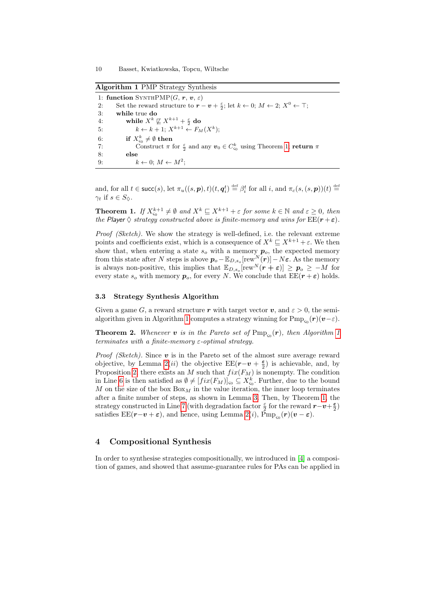Algorithm 1 PMP Strategy Synthesis

|    | 1: function SYNTHPMP $(G, r, v, \varepsilon)$                                                                                                     |
|----|---------------------------------------------------------------------------------------------------------------------------------------------------|
| 2: | Set the reward structure to $\mathbf{r} - \mathbf{v} + \frac{\varepsilon}{2}$ ; let $k \leftarrow 0$ ; $M \leftarrow 2$ ; $X^0 \leftarrow \top$ ; |
| 3: | while true do                                                                                                                                     |
| 4: | while $X^k \not\sqsubseteq X^{k+1} + \frac{\varepsilon}{2}$ do                                                                                    |
| 5: | $k \leftarrow k + 1; X^{k+1} \leftarrow F_M(X^k);$                                                                                                |
| 6: | if $X_{\varsigma_0}^k \neq \emptyset$ then                                                                                                        |
| 7: | Construct $\pi$ for $\frac{\varepsilon}{2}$ and any $v_0 \in C_{\infty}^k$ using Theorem 1; return $\pi$                                          |
| 8: | else                                                                                                                                              |
| 9: | $k \leftarrow 0: M \leftarrow M^2$                                                                                                                |

<span id="page-10-2"></span>and, for all  $t \in \text{succ}(s)$ , let  $\pi_u((s, \mathbf{p}), t)(t, \mathbf{q}_i^t) \stackrel{\text{def}}{=} \beta_i^t$  for all  $i$ , and  $\pi_c(s, (s, \mathbf{p}))(t) \stackrel{\text{def}}{=}$  $\gamma_t$  if  $s \in S_{\Diamond}$ .

<span id="page-10-0"></span>**Theorem 1.** If  $X_{\varsigma_0}^{k+1} \neq \emptyset$  and  $X^k \sqsubseteq X^{k+1} + \varepsilon$  for some  $k \in \mathbb{N}$  and  $\varepsilon \geq 0$ , then *the* Player  $\Diamond$  *strategy constructed above is finite-memory and wins for*  $EE(r + \varepsilon)$ *.* 

*Proof (Sketch).* We show the strategy is well-defined, i.e. the relevant extreme points and coefficients exist, which is a consequence of  $X^k \subseteq X^{k+1} + \varepsilon$ . We then show that, when entering a state  $s_o$  with a memory  $p_o$ , the expected memory from this state after N steps is above  $p_o - \mathbb{E}_{D,s_o}[\text{rew}_\cdot^N(\bm{r})] - N \bm{\varepsilon}$ . As the memory is always non-positive, this implies that  $\mathbb{E}_{D,s_o}[\text{rew}^N(\bm{r}+\bm{\varepsilon})] \ge \bm{p}_o \ge -M$  for every state  $s_o$  with memory  $p_o$ , for every N. We conclude that  $\text{EE}(r + \varepsilon)$  holds.

### <span id="page-10-1"></span>3.3 Strategy Synthesis Algorithm

Given a game G, a reward structure r with target vector v, and  $\varepsilon > 0$ , the semi-algorithm given in Algorithm [1](#page-0-0) computes a strategy winning for  $\mathrm{Pmp}_{\varsigma_0}(\bm{r})(\bm{v}-\varepsilon)$ .

**Theorem 2.** Whenever **v** is in the Pareto set of  $\text{Pmp}_{\varsigma_0}(\mathbf{r})$ , then Algorithm [1](#page-0-0) *terminates with a finite-memory* ε*-optimal strategy.*

*Proof (Sketch)*. Since  $\boldsymbol{v}$  is in the Pareto set of the almost sure average reward objective, by Lemma [2\(](#page-6-0)ii) the objective EE( $\mathbf{r}-\mathbf{v}+\frac{\epsilon}{2}$  $(\frac{\varepsilon}{2})$  is achievable, and, by Proposition [2,](#page-7-1) there exists an M such that  $fix(F_M)$  is nonempty. The condition in Line [6](#page-0-0) is then satisfied as  $\emptyset \neq [fix(F_M)]_{\text{so}} \subseteq X_{\text{so}}^k$ . Further, due to the bound  $M$  on the size of the box  $Box_M$  in the value iteration, the inner loop terminates after a finite number of steps, as shown in Lemma [3.](#page-8-0) Then, by Theorem [1,](#page-9-1) the strategy constructed in Line [7](#page-0-0) (with degradation factor  $\frac{\varepsilon}{2}$  for the reward  $\bm{r}-\bm{v}+\frac{\varepsilon}{2}$  $\frac{\varepsilon}{2})$ satisfies  $\text{EE}(\mathbf{r} - \mathbf{v} + \boldsymbol{\varepsilon})$ , and hence, using Lemma [2\(](#page-6-0)*i*),  $\text{Pmp}_{\varsigma_0}(\mathbf{r})(\mathbf{v} - \boldsymbol{\varepsilon})$ .

# 4 Compositional Synthesis

In order to synthesise strategies compositionally, we introduced in [\[4\]](#page-14-5) a composition of games, and showed that assume-guarantee rules for PAs can be applied in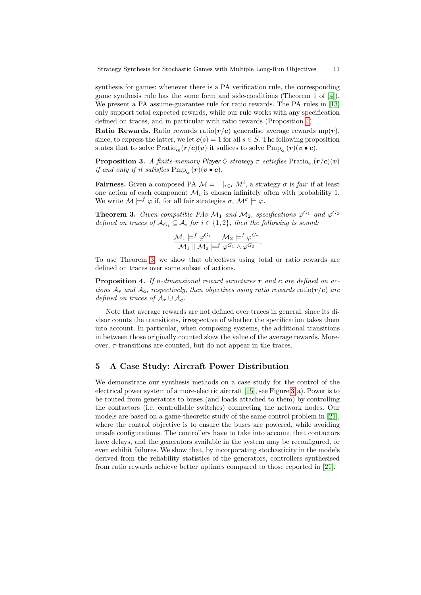<span id="page-11-0"></span>synthesis for games: whenever there is a PA verification rule, the corresponding game synthesis rule has the same form and side-conditions (Theorem 1 of [\[4\]](#page-14-5)). We present a PA assume-guarantee rule for ratio rewards. The PA rules in [\[13\]](#page-14-6) only support total expected rewards, while our rule works with any specification defined on traces, and in particular with ratio rewards (Proposition [4\)](#page-10-1).

**Ratio Rewards.** Ratio rewards ratio( $r/c$ ) generalise average rewards mp( $r$ ). since, to express the latter, we let  $c(s) = 1$  for all  $s \in \overline{S}$ . The following proposition states that to solve  $\text{Pratio}_{\varsigma_0}(\bm{r}/\bm{c})(\bm{v})$  it suffices to solve  $\text{Pmp}_{\varsigma_0}(\bm{r})(\bm{v}\bullet\bm{c})$ .

 $\bf{Proposition 3.}$  *A finite-memory Player*  $\Diamond$  *strategy*  $\pi$  *satisfies*  $\mathrm{Pratio}_{\varsigma_0}(\bm{r}/\bm{c})(\bm{v})$ *if and only if it satisfies*  $\text{Pmp}_{\varsigma_0}(\boldsymbol{r})(\boldsymbol{v}\bullet\boldsymbol{c})$ *.* 

**Fairness.** Given a composed PA  $\mathcal{M} = \parallel_{i \in I} M^i$ , a strategy  $\sigma$  is *fair* if at least one action of each component  $\mathcal{M}_i$  is chosen infinitely often with probability 1. We write  $\mathcal{M} \models^f \varphi$  if, for all fair strategies  $\sigma$ ,  $\mathcal{M}^{\sigma} \models \varphi$ .

**Theorem 3.** Given compatible PAs  $\mathcal{M}_1$  and  $\mathcal{M}_2$ , specifications  $\varphi^{G_1}$  and  $\varphi^{G_2}$ *defined on traces of*  $A_{G_i} \subseteq A_i$  *for*  $i \in \{1,2\}$ *, then the following is sound:* 

$$
\frac{\mathcal{M}_1 \models^f \varphi^{G_1} \qquad \mathcal{M}_2 \models^f \varphi^{G_2}}{\mathcal{M}_1 \parallel \mathcal{M}_2 \models^f \varphi^{G_1} \wedge \varphi^{G_2}}.
$$

To use Theorem [3,](#page-10-0) we show that objectives using total or ratio rewards are defined on traces over some subset of actions.

Proposition 4. *If* n*-dimensional reward structures* r *and* c *are defined on actions*  $A_r$  *and*  $A_c$ , *respectively, then objectives using ratio rewards* ratio( $r/c$ ) *are defined on traces of*  $A_r \cup A_c$ .

Note that average rewards are not defined over traces in general, since its divisor counts the transitions, irrespective of whether the specification takes them into account. In particular, when composing systems, the additional transitions in between those originally counted skew the value of the average rewards. Moreover,  $\tau$ -transitions are counted, but do not appear in the traces.

# 5 A Case Study: Aircraft Power Distribution

We demonstrate our synthesis methods on a case study for the control of the electrical power system of a more-electric aircraft [\[15\]](#page-14-7), see Figure [3\(](#page-11-0)a). Power is to be routed from generators to buses (and loads attached to them) by controlling the contactors (i.e. controllable switches) connecting the network nodes. Our models are based on a game-theoretic study of the same control problem in [\[21\]](#page-15-1), where the control objective is to ensure the buses are powered, while avoiding unsafe configurations. The controllers have to take into account that contactors have delays, and the generators available in the system may be reconfigured, or even exhibit failures. We show that, by incorporating stochasticity in the models derived from the reliability statistics of the generators, controllers synthesised from ratio rewards achieve better uptimes compared to those reported in [\[21\]](#page-15-1).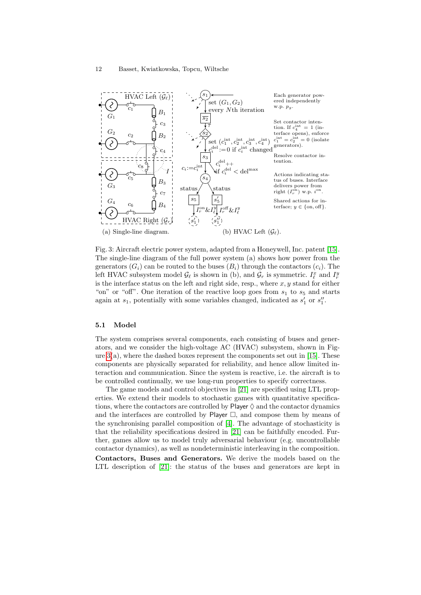

Fig. 3: Aircraft electric power system, adapted from a Honeywell, Inc. patent [\[15\]](#page-14-7). The single-line diagram of the full power system (a) shows how power from the generators  $(G_i)$  can be routed to the buses  $(B_i)$  through the contactors  $(c_i)$ . The left HVAC subsystem model  $\mathcal{G}_{\ell}$  is shown in (b), and  $\mathcal{G}_r$  is symmetric.  $I_{\ell}^x$  and  $I_r^y$ is the interface status on the left and right side, resp., where  $x, y$  stand for either "on" or "off". One iteration of the reactive loop goes from  $s_1$  to  $s_5$  and starts again at  $s_1$ , potentially with some variables changed, indicated as  $s'_1$  or  $s''_1$ .

.

### 5.1 Model

The system comprises several components, each consisting of buses and generators, and we consider the high-voltage AC (HVAC) subsystem, shown in Figure  $3(a)$ , where the dashed boxes represent the components set out in [\[15\]](#page-14-7). These components are physically separated for reliability, and hence allow limited interaction and communication. Since the system is reactive, i.e. the aircraft is to be controlled continually, we use long-run properties to specify correctness.

The game models and control objectives in [\[21\]](#page-15-1) are specified using LTL properties. We extend their models to stochastic games with quantitative specifications, where the contactors are controlled by Player  $\Diamond$  and the contactor dynamics and the interfaces are controlled by Player  $\Box$ , and compose them by means of the synchronising parallel composition of [\[4\]](#page-14-5). The advantage of stochasticity is that the reliability specifications desired in [\[21\]](#page-15-1) can be faithfully encoded. Further, games allow us to model truly adversarial behaviour (e.g. uncontrollable contactor dynamics), as well as nondeterministic interleaving in the composition. Contactors, Buses and Generators. We derive the models based on the LTL description of [\[21\]](#page-15-1): the status of the buses and generators are kept in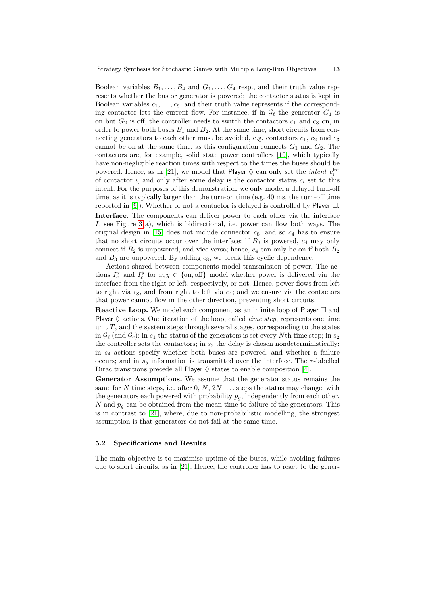<span id="page-13-0"></span>Boolean variables  $B_1, \ldots, B_4$  and  $G_1, \ldots, G_4$  resp., and their truth value represents whether the bus or generator is powered; the contactor status is kept in Boolean variables  $c_1, \ldots, c_8$ , and their truth value represents if the corresponding contactor lets the current flow. For instance, if in  $\mathcal{G}_{\ell}$  the generator  $G_1$  is on but  $G_2$  is off, the controller needs to switch the contactors  $c_1$  and  $c_3$  on, in order to power both buses  $B_1$  and  $B_2$ . At the same time, short circuits from connecting generators to each other must be avoided, e.g. contactors  $c_1$ ,  $c_2$  and  $c_3$ cannot be on at the same time, as this configuration connects  $G_1$  and  $G_2$ . The contactors are, for example, solid state power controllers [\[19\]](#page-15-4), which typically have non-negligible reaction times with respect to the times the buses should be powered. Hence, as in [\[21\]](#page-15-1), we model that Player  $\Diamond$  can only set the *intent*  $c_i^{\text{int}}$ of contactor i, and only after some delay is the contactor status  $c_i$  set to this intent. For the purposes of this demonstration, we only model a delayed turn-off time, as it is typically larger than the turn-on time (e.g. 40 ms, the turn-off time reported in [\[9\]](#page-14-10)). Whether or not a contactor is delayed is controlled by Player  $\Box$ . Interface. The components can deliver power to each other via the interface I, see Figure [3\(](#page-11-0)a), which is bidirectional, i.e. power can flow both ways. The original design in [\[15\]](#page-14-7) does not include connector  $c_8$ , and so  $c_4$  has to ensure that no short circuits occur over the interface: if  $B_3$  is powered,  $c_4$  may only connect if  $B_2$  is unpowered, and vice versa; hence,  $c_4$  can only be on if both  $B_2$ and  $B_3$  are unpowered. By adding  $c_8$ , we break this cyclic dependence.

Actions shared between components model transmission of power. The actions  $I_r^x$  and  $I_\ell^y$  for  $x, y \in \{\text{on, off}\}\$  model whether power is delivered via the interface from the right or left, respectively, or not. Hence, power flows from left to right via  $c_8$ , and from right to left via  $c_4$ ; and we ensure via the contactors that power cannot flow in the other direction, preventing short circuits.

**Reactive Loop.** We model each component as an infinite loop of Player  $\Box$  and Player  $\diamond$  actions. One iteration of the loop, called *time step*, represents one time unit  $T$ , and the system steps through several stages, corresponding to the states in  $\mathcal{G}_{\ell}$  (and  $\mathcal{G}_r$ ): in  $s_1$  the status of the generators is set every Nth time step; in  $s_2$ the controller sets the contactors; in  $s_3$  the delay is chosen nondeterministically; in  $s<sub>4</sub>$  actions specify whether both buses are powered, and whether a failure occurs; and in  $s_5$  information is transmitted over the interface. The  $\tau$ -labelled Dirac transitions precede all Player  $\diamond$  states to enable composition [\[4\]](#page-14-5).

Generator Assumptions. We assume that the generator status remains the same for N time steps, i.e. after  $0, N, 2N, \ldots$  steps the status may change, with the generators each powered with probability  $p<sub>g</sub>$ , independently from each other. N and  $p_q$  can be obtained from the mean-time-to-failure of the generators. This is in contrast to [\[21\]](#page-15-1), where, due to non-probabilistic modelling, the strongest assumption is that generators do not fail at the same time.

#### 5.2 Specifications and Results

The main objective is to maximise uptime of the buses, while avoiding failures due to short circuits, as in [\[21\]](#page-15-1). Hence, the controller has to react to the gener-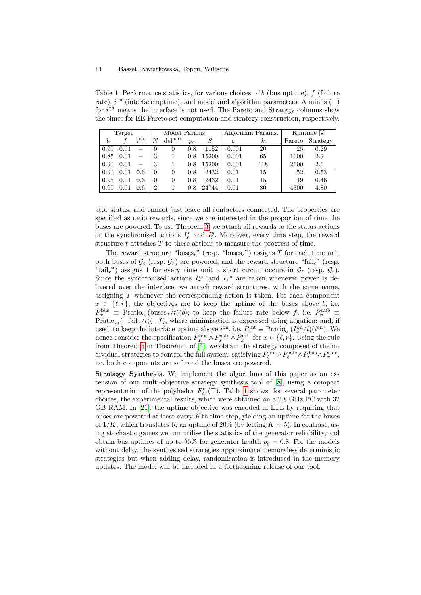Table 1: Performance statistics, for various choices of b (bus uptime), f (failure rate),  $i<sup>on</sup>$  (interface uptime), and model and algorithm parameters. A minus  $(-)$ for  $i<sup>on</sup>$  means the interface is not used. The Pareto and Strategy columns show the times for EE Pareto set computation and strategy construction, respectively.

| Target |      |                 | Model Params.  |                   |         |       | Algorithm Params. |          | Runtime [s] |          |
|--------|------|-----------------|----------------|-------------------|---------|-------|-------------------|----------|-------------|----------|
| b      |      | $i^{\text{on}}$ | N              | de <sup>max</sup> | $p_{q}$ | S     | $\varepsilon$     | $\kappa$ | Pareto      | Strategy |
| 0.90   | 0.01 |                 | 0              | 0                 | 0.8     | 1152  | 0.001             | 20       | 25          | 0.29     |
| 0.85   | 0.01 |                 | 3              |                   | 0.8     | 15200 | 0.001             | 65       | 1100        | 2.9      |
| 0.90   | 0.01 |                 | 3              |                   | 0.8     | 15200 | 0.001             | 118      | 2100        | 2.1      |
| 0.90   | 0.01 | 0.6             | $\overline{0}$ |                   | 0.8     | 2432  | 0.01              | 15       | 52          | 0.53     |
| 0.95   | 0.01 | 0.6             | $\Omega$       | $\theta$          | 0.8     | 2432  | 0.01              | 15       | 49          | 0.46     |
| 0.90   | 0.01 | 0.6             | $\overline{2}$ |                   | 0.8     | 24744 | 0.01              | 80       | 4300        | 4.80     |

<span id="page-14-8"></span>ator status, and cannot just leave all contactors connected. The properties are specified as ratio rewards, since we are interested in the proportion of time the buses are powered. To use Theorem [3,](#page-10-0) we attach all rewards to the status actions or the synchronised actions  $I_{\ell}^x$  and  $I_{r}^y$ . Moreover, every time step, the reward structure  $t$  attaches  $T$  to these actions to measure the progress of time.

<span id="page-14-14"></span><span id="page-14-9"></span><span id="page-14-5"></span><span id="page-14-4"></span><span id="page-14-3"></span>The reward structure "buses<sub> $\ell$ </sub>" (resp. "buses<sub>r</sub>") assigns T for each time unit both buses of  $\mathcal{G}_{\ell}$  (resp.  $\mathcal{G}_r$ ) are powered; and the reward structure "fail<sub> $\ell$ </sub>" (resp. "fail<sub>r</sub>") assigns 1 for every time unit a short circuit occurs in  $\mathcal{G}_{\ell}$  (resp.  $\mathcal{G}_{r}$ ). Since the synchronised actions  $I_r^{\text{on}}$  and  $I_\ell^{\text{on}}$  are taken whenever power is delivered over the interface, we attach reward structures, with the same name, assigning T whenever the corresponding action is taken. For each component  $x \in \{\ell, r\}$ , the objectives are to keep the uptime of the buses above b, i.e.  $P_x^{\text{bus}} \equiv \text{Pratio}_{\varsigma_0}(\text{buses}_x/t)(b);$  to keep the failure rate below f, i.e.  $P_x^{\text{safe}} \equiv$  $\text{Pratio}_{\varsigma_0}(-\text{fail}_x/t)(-f)$ , where minimisation is expressed using negation; and, if used, to keep the interface uptime above  $i^{\text{on}}$ , i.e.  $P_x^{\text{int}} \equiv \text{Pratio}_{\varsigma_0}(I_x^{\text{on}}/t)(i^{\text{on}})$ . We hence consider the specification  $P_x^{\text{bus}} \wedge P_x^{\text{safe}} \wedge P_x^{\text{int}}$ , for  $x \in \{\ell, r\}$ . Using the rule from Theorem [3](#page-10-0) in Theorem 1 of [\[4\]](#page-14-5), we obtain the strategy composed of the individual strategies to control the full system, satisfying  $P_{\ell}^{\text{bus}} \wedge P_{\ell}^{\text{safe}} \wedge P_r^{\text{bus}} \wedge P_r^{\text{safe}}$ , i.e. both components are safe and the buses are powered.

<span id="page-14-13"></span><span id="page-14-12"></span><span id="page-14-11"></span><span id="page-14-10"></span><span id="page-14-7"></span><span id="page-14-6"></span><span id="page-14-2"></span><span id="page-14-1"></span><span id="page-14-0"></span>Strategy Synthesis. We implement the algorithms of this paper as an extension of our multi-objective strategy synthesis tool of [\[8\]](#page-14-1), using a compact representation of the polyhedra  $F_M^k(\top)$ . Table [1](#page-13-0) shows, for several parameter choices, the experimental results, which were obtained on a 2.8 GHz PC with 32 GB RAM. In [\[21\]](#page-15-1), the uptime objective was encoded in LTL by requiring that buses are powered at least every Kth time step, yielding an uptime for the buses of  $1/K$ , which translates to an uptime of  $20\%$  (by letting  $K = 5$ ). In contrast, using stochastic games we can utilise the statistics of the generator reliability, and obtain bus uptimes of up to 95% for generator health  $p_q = 0.8$ . For the models without delay, the synthesised strategies approximate memoryless deterministic strategies but when adding delay, randomisation is introduced in the memory updates. The model will be included in a forthcoming release of our tool.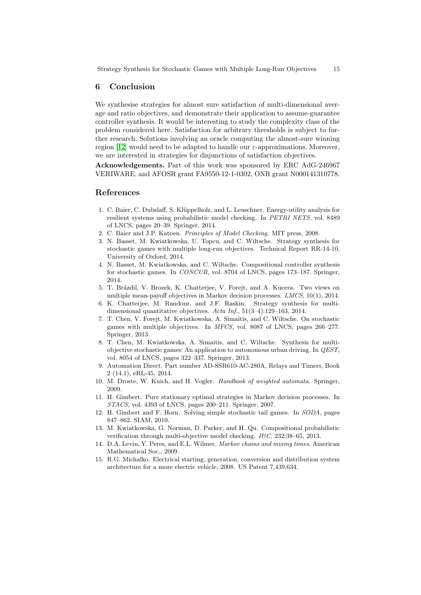#### <span id="page-15-5"></span>6 Conclusion

<span id="page-15-4"></span><span id="page-15-3"></span><span id="page-15-0"></span>We synthesise strategies for almost sure satisfaction of multi-dimensional average and ratio objectives, and demonstrate their application to assume-guarantee controller synthesis. It would be interesting to study the complexity class of the problem considered here. Satisfaction for arbitrary thresholds is subject to further research. Solutions involving an oracle computing the almost-sure winning region [\[12\]](#page-14-2) would need to be adapted to handle our  $\varepsilon$ -approximations. Moreover, we are interested in strategies for disjunctions of satisfaction objectives.

<span id="page-15-2"></span><span id="page-15-1"></span>Acknowledgements. Part of this work was sponsored by ERC AdG-246967 VERIWARE, and AFOSR grant FA9550-12-1-0302, ONR grant N000141310778.

# References

- 1. C. Baier, C. Dubslaff, S. Kl¨uppelholz, and L. Leuschner. Energy-utility analysis for resilient systems using probabilistic model checking. In *PETRI NETS*, vol. 8489 of LNCS, pages 20–39. Springer, 2014.
- 2. C. Baier and J.P. Katoen. *Principles of Model Checking*. MIT press, 2008.
- 3. N. Basset, M. Kwiatkowska, U. Topcu, and C. Wiltsche. Strategy synthesis for stochastic games with multiple long-run objectives. Technical Report RR-14-10, University of Oxford, 2014.
- 4. N. Basset, M. Kwiatkowska, and C. Wiltsche. Compositional controller synthesis for stochastic games. In *CONCUR*, vol. 8704 of LNCS, pages 173–187. Springer, 2014.
- 5. T. Brázdil, V. Brozek, K. Chatterjee, V. Forejt, and A. Kucera. Two views on multiple mean-payoff objectives in Markov decision processes. *LMCS*, 10(1), 2014.
- 6. K. Chatterjee, M. Randour, and J.F. Raskin. Strategy synthesis for multidimensional quantitative objectives. *Acta Inf.*, 51(3–4):129–163, 2014.
- 7. T. Chen, V. Forejt, M. Kwiatkowska, A. Simaitis, and C. Wiltsche. On stochastic games with multiple objectives. In *MFCS*, vol. 8087 of LNCS, pages 266–277. Springer, 2013.
- 8. T. Chen, M. Kwiatkowska, A. Simaitis, and C. Wiltsche. Synthesis for multiobjective stochastic games: An application to autonomous urban driving. In *QEST*, vol. 8054 of LNCS, pages 322–337. Springer, 2013.
- 9. Automation Direct. Part number AD-SSR610-AC-280A, Relays and Timers, Book 2 (14.1), eRL-45, 2014.
- 10. M. Droste, W. Kuich, and H. Vogler. *Handbook of weighted automata*. Springer, 2009.
- 11. H. Gimbert. Pure stationary optimal strategies in Markov decision processes. In *STACS*, vol. 4393 of LNCS, pages 200–211. Springer, 2007.
- 12. H. Gimbert and F. Horn. Solving simple stochastic tail games. In *SODA*, pages 847–862. SIAM, 2010.
- 13. M. Kwiatkowska, G. Norman, D. Parker, and H. Qu. Compositional probabilistic verification through multi-objective model checking. *I&C*, 232:38–65, 2013.
- 14. D.A. Levin, Y. Peres, and E.L. Wilmer. *Markov chains and mixing times*. American Mathematical Soc., 2009.
- 15. R.G. Michalko. Electrical starting, generation, conversion and distribution system architecture for a more electric vehicle, 2008. US Patent 7,439,634.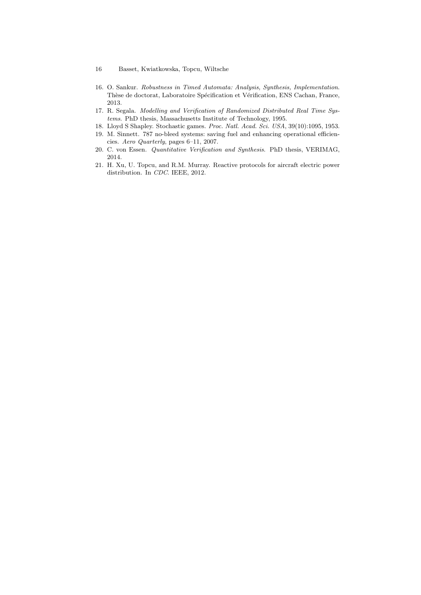- 16 Basset, Kwiatkowska, Topcu, Wiltsche
- 16. O. Sankur. *Robustness in Timed Automata: Analysis, Synthesis, Implementation*. Thèse de doctorat, Laboratoire Spécification et Vérification, ENS Cachan, France, 2013.
- 17. R. Segala. *Modelling and Verification of Randomized Distributed Real Time Systems*. PhD thesis, Massachusetts Institute of Technology, 1995.
- 18. Lloyd S Shapley. Stochastic games. *Proc. Natl. Acad. Sci. USA*, 39(10):1095, 1953.
- 19. M. Sinnett. 787 no-bleed systems: saving fuel and enhancing operational efficiencies. *Aero Quarterly*, pages 6–11, 2007.
- 20. C. von Essen. *Quantitative Verification and Synthesis*. PhD thesis, VERIMAG, 2014.
- <span id="page-16-0"></span>21. H. Xu, U. Topcu, and R.M. Murray. Reactive protocols for aircraft electric power distribution. In *CDC*. IEEE, 2012.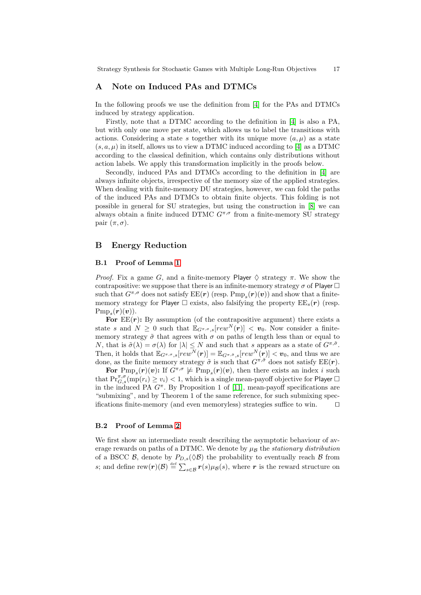# A Note on Induced PAs and DTMCs

<span id="page-17-0"></span>In the following proofs we use the definition from [\[4\]](#page-14-5) for the PAs and DTMCs induced by strategy application.

Firstly, note that a DTMC according to the definition in [\[4\]](#page-14-5) is also a PA, but with only one move per state, which allows us to label the transitions with actions. Considering a state s together with its unique move  $(a, \mu)$  as a state  $(s, a, \mu)$  in itself, allows us to view a DTMC induced according to [\[4\]](#page-14-5) as a DTMC according to the classical definition, which contains only distributions without action labels. We apply this transformation implicitly in the proofs below.

Secondly, induced PAs and DTMCs according to the definition in [\[4\]](#page-14-5) are always infinite objects, irrespective of the memory size of the applied strategies. When dealing with finite-memory DU strategies, however, we can fold the paths of the induced PAs and DTMCs to obtain finite objects. This folding is not possible in general for SU strategies, but using the construction in [\[8\]](#page-14-1) we can always obtain a finite induced DTMC  $G^{\pi,\sigma}$  from a finite-memory SU strategy pair  $(\pi, \sigma)$ .

# B Energy Reduction

### B.1 Proof of Lemma [1](#page-6-1)

*Proof.* Fix a game G, and a finite-memory Player  $\Diamond$  strategy  $\pi$ . We show the contrapositive: we suppose that there is an infinite-memory strategy  $\sigma$  of Player  $\Box$ such that  $G^{\pi,\sigma}$  does not satisfy  $\text{EE}(r)$  (resp.  $\text{Pmp}_s(r)(v)$ ) and show that a finitememory strategy for Player  $\Box$  exists, also falsifying the property  $\mathrm{EE}_s(\mathbf{r})$  (resp.  ${\rm Pmp}_s(\bm{r})(\bm{v}) ).$ 

For  $EE(r)$ : By assumption (of the contrapositive argument) there exists a state s and  $N \geq 0$  such that  $\mathbb{E}_{G^{\pi,\sigma},s}[rew^N(\boldsymbol{r})] < \boldsymbol{v}_0$ . Now consider a finitememory strategy  $\tilde{\sigma}$  that agrees with  $\sigma$  on paths of length less than or equal to N, that is  $\tilde{\sigma}(\lambda) = \sigma(\lambda)$  for  $|\lambda| \leq N$  and such that s appears as a state of  $G^{\pi,\tilde{\sigma}}$ . Then, it holds that  $\mathbb{E}_{G^{\pi,\sigma},s}[rew^N(\boldsymbol{r})] = \mathbb{E}_{G^{\pi,\tilde{\sigma}},s}[rew^N(\boldsymbol{r})] < v_0$ , and thus we are done, as the finite memory strategy  $\tilde{\sigma}$  is such that  $G^{\pi,\tilde{\sigma}}$  does not satisfy EE(r).

For  $Pmp_s(r)(v)$ : If  $G^{\pi,\sigma} \not\models Pmp_s(r)(v)$ , then there exists an index *i* such that  $\mathrm{Pr}_{G,s}^{\pi,\sigma}(\mathrm{mp}(r_i) \geq v_i) < 1$ , which is a single mean-payoff objective for Player  $\Box$ in the induced PA  $G^{\pi}$ . By Proposition 1 of [\[11\]](#page-14-11), mean-payoff specifications are "submixing", and by Theorem 1 of the same reference, for such submixing specifications finite-memory (and even memoryless) strategies suffice to win. ⊓⊔

### B.2 Proof of Lemma [2](#page-6-0)

We first show an intermediate result describing the asymptotic behaviour of average rewards on paths of a DTMC. We denote by  $\mu_B$  the *stationary distribution* of a BSCC  $\mathcal{B}$ , denote by  $P_{D,s}(\Diamond \mathcal{B})$  the probability to eventually reach  $\mathcal{B}$  from s; and define rew $(r)(\mathcal{B}) \stackrel{\text{def}}{=} \sum_{s \in \mathcal{B}} r(s) \mu(\mathcal{B})$ , where r is the reward structure on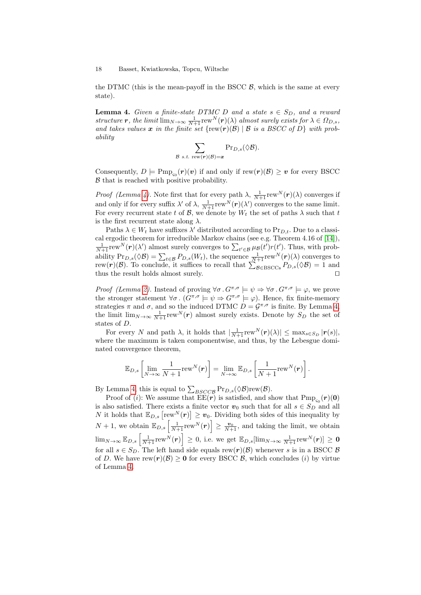the DTMC (this is the mean-payoff in the BSCC  $\beta$ , which is the same at every state).

**Lemma 4.** *Given a finite-state DTMC D and a state*  $s \in S_D$ *, and a reward structure r, the limit*  $\lim_{N\to\infty} \frac{1}{N+1}$  rew<sup>N</sup>(**r**)( $\lambda$ ) *almost surely exists for*  $\lambda \in \Omega_{D,s}$ , and takes values  $x$  in the finite set  $\{rew(r)(\mathcal{B}) \mid \mathcal{B}$  is a BSCC of  $D\}$  with prob*ability*

$$
\sum_{\mathcal{B}\ s.t.\ \mathrm{rew}(r)(\mathcal{B})=\boldsymbol{x}}\mathrm{Pr}_{D,s}(\Diamond \mathcal{B}).
$$

Consequently,  $D \models \text{Pmp}_{\varsigma_0}(\boldsymbol{r})(\boldsymbol{v})$  if and only if  $\text{rew}(\boldsymbol{r})(\mathcal{B}) \geq \boldsymbol{v}$  for every BSCC  $\beta$  that is reached with positive probability.

*Proof (Lemma [4\)](#page-17-0)*. Note first that for every path  $\lambda$ ,  $\frac{1}{N+1}$  rew<sup>N</sup> $(r)(\lambda)$  converges if and only if for every suffix  $\lambda'$  of  $\lambda$ ,  $\frac{1}{N+1}$  rew<sup>N</sup> $(r)(\lambda')$  converges to the same limit. For every recurrent state t of  $\mathcal{B}$ , we denote by  $W_t$  the set of paths  $\lambda$  such that t is the first recurrent state along  $\lambda$ .

Paths  $\lambda \in W_t$  have suffixes  $\lambda'$  distributed according to  $Pr_{D,t}$ . Due to a classical ergodic theorem for irreducible Markov chains (see e.g. Theorem 4.16 of [\[14\]](#page-14-12)),  $\frac{1}{N+1}$ rew $N(\mathbf{r})(\lambda')$  almost surely converges to  $\sum_{t' \in \mathcal{B}} \mu_{\mathcal{B}}(t')r(t')$ . Thus, with probability  $Pr_{D,s}(\Diamond \mathcal{B}) = \sum_{t \in \mathcal{B}} P_{D,s}(W_t)$ , the sequence  $\frac{1}{N+1}$ rew<sup>N</sup> $(r)(\lambda)$  converges to rew(**r**)( $\mathcal{B}$ ). To conclude, it suffices to recall that  $\sum_{\mathcal{B}\in \text{BSCCs}} P_{D,s}(\Diamond \mathcal{B}) = 1$  and thus the result holds almost surely. ⊓⊔

*Proof (Lemma [2\)](#page-6-0)*. Instead of proving  $\forall \sigma \cdot G^{\pi,\sigma} \models \psi \Rightarrow \forall \sigma \cdot G^{\pi,\sigma} \models \varphi$ , we prove the stronger statement  $\forall \sigma \cdot (G^{\pi,\sigma} \models \psi \Rightarrow G^{\pi,\sigma} \models \varphi)$ . Hence, fix finite-memory strategies  $\pi$  and  $\sigma$ , and so the induced DTMC  $D = \mathcal{G}^{\pi,\sigma}$  is finite. By Lemma [4,](#page-17-0) the limit  $\lim_{N\to\infty} \frac{1}{N+1} \text{rew}^N(r)$  almost surely exists. Denote by  $S_D$  the set of states of D.

For every N and path  $\lambda$ , it holds that  $\frac{1}{N+1} \text{rew}^N(\boldsymbol{r})(\lambda) \leq \max_{s \in S_D} |\boldsymbol{r}(s)|$ , where the maximum is taken componentwise, and thus, by the Lebesgue dominated convergence theorem,

$$
\mathbb{E}_{D,s}\left[\lim_{N\to\infty}\frac{1}{N+1}\text{rew}^N(\boldsymbol{r})\right]=\lim_{N\to\infty}\mathbb{E}_{D,s}\left[\frac{1}{N+1}\text{rew}^N(\boldsymbol{r})\right].
$$

By Lemma [4,](#page-17-0) this is equal to  $\sum_{BSCCB} Pr_{D,s}(\Diamond \mathcal{B})$ rew $(\mathcal{B})$ .

Proof of (*i*): We assume that  $\text{EE}(r)$  is satisfied, and show that  $\text{Pmp}_{\varsigma_0}(r)(0)$ is also satisfied. There exists a finite vector  $v_0$  such that for all  $s \in S_D$  and all N it holds that  $\mathbb{E}_{D,s} \left[ \text{rew}^N(\boldsymbol{r}) \right] \geq \boldsymbol{v}_0$ . Dividing both sides of this inequality by  $N+1$ , we obtain  $\mathbb{E}_{D,s}\left[\frac{1}{N+1} \text{rew}^N(\boldsymbol{r})\right] \geq \frac{\boldsymbol{v}_0}{N+1}$ , and taking the limit, we obtain  $\lim_{N\to\infty}\mathbb{E}_{D,s}\left[\frac{1}{N+1} \mathrm{rew}^N(\bm{r})\right]\,\geq\, 0, \text{ i.e. we get }\mathbb{E}_{D,s}[\lim_{N\to\infty}\frac{1}{N+1} \mathrm{rew}^N(\bm{r})]\,\geq\,\bm{0}$ for all  $s \in S_D$ . The left hand side equals rew $(r)(\mathcal{B})$  whenever s is in a BSCC  $\mathcal{B}$ of D. We have rew $(r)(\mathcal{B}) \geq 0$  for every BSCC  $\mathcal{B}$ , which concludes (i) by virtue of Lemma [4.](#page-17-0)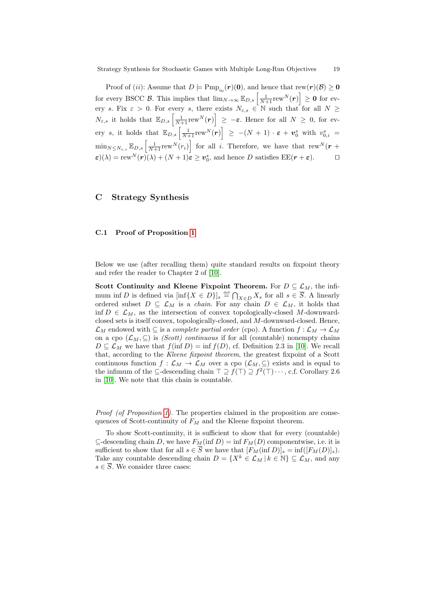Proof of (*ii*): Assume that  $D \models \text{Pmp}_{s_0}(r)(0)$ , and hence that  $\text{rew}(r)(\mathcal{B}) \geq 0$ for every BSCC  $\mathcal{B}$ . This implies that  $\lim_{N\to\infty} \mathbb{E}_{D,s} \left[ \frac{1}{N+1} \text{rew}^N(\boldsymbol{r}) \right] \geq 0$  for every s. Fix  $\varepsilon > 0$ . For every s, there exists  $N_{\varepsilon,s} \in \mathbb{N}$  such that for all  $N \geq$  $N_{\varepsilon,s}$  it holds that  $\mathbb{E}_{D,s}\left[\frac{1}{N+1} \text{rew}^N(\boldsymbol{r})\right] \geq -\varepsilon$ . Hence for all  $N \geq 0$ , for every s, it holds that  $\mathbb{E}_{D,s}\left[\frac{1}{N+1} \text{rew}^N(\boldsymbol{r})\right] \ge -(N+1) \cdot \boldsymbol{\varepsilon} + \boldsymbol{v}_0^s$  with  $v_{0,i}^s =$  $\min_{N \leq N_{\varepsilon,s}} \mathbb{E}_{D,s} \left[ \frac{1}{N+1} \text{rew}^N(r_i) \right]$  for all i. Therefore, we have that  $\text{rew}^N(\boldsymbol{r} + \boldsymbol{r})$  $\varepsilon(\lambda) = \text{rew}^N(r)(\lambda) + (N+1)\varepsilon \ge v_0^s$ , and hence D satisfies EE( $r + \varepsilon$ ).  $\Box$ 

# C Strategy Synthesis

### C.1 Proof of Proposition [1](#page-7-2)

Below we use (after recalling them) quite standard results on fixpoint theory and refer the reader to Chapter 2 of [\[10\]](#page-14-13).

Scott Continuity and Kleene Fixpoint Theorem. For  $D \subseteq \mathcal{L}_M$ , the infimum inf D is defined via  $[\inf\{X \in D\}]_s \stackrel{\text{def}}{=} \bigcap_{X \in D} X_s$  for all  $s \in \overline{S}$ . A linearly ordered subset  $D \subseteq \mathcal{L}_M$  is a *chain*. For any chain  $D \in \mathcal{L}_M$ , it holds that inf  $D \in \mathcal{L}_M$ , as the intersection of convex topologically-closed M-downwardclosed sets is itself convex, topologically-closed, and M-downward-closed. Hence,  $\mathcal{L}_M$  endowed with  $\subseteq$  is a *complete partial order* (cpo). A function  $f : \mathcal{L}_M \to \mathcal{L}_M$ on a cpo  $(\mathcal{L}_M, \subseteq)$  is *(Scott) continuous* if for all (countable) nonempty chains  $D \subseteq \mathcal{L}_M$  we have that  $f(\inf D) = \inf f(D)$ , cf. Definition 2.3 in [\[10\]](#page-14-13). We recall that, according to the *Kleene fixpoint theorem*, the greatest fixpoint of a Scott continuous function  $f: \mathcal{L}_M \to \mathcal{L}_M$  over a cpo  $(\mathcal{L}_M, \subseteq)$  exists and is equal to the infimum of the  $\subseteq$ -descending chain  $\top \supseteq f(\top) \supseteq f^2(\top) \cdots$ , c.f. Corollary 2.6 in [\[10\]](#page-14-13). We note that this chain is countable.

*Proof (of Proposition [1\)](#page-7-2).* The properties claimed in the proposition are consequences of Scott-continuity of  $F_M$  and the Kleene fixpoint theorem.

To show Scott-continuity, it is sufficient to show that for every (countable)  $\subseteq$ -descending chain D, we have  $F_M(\inf D) = \inf F_M(D)$  componentwise, i.e. it is sufficient to show that for all  $s \in \overline{S}$  we have that  $[F_M(\inf D)]_s = \inf([F_M(D)]_s)$ . Take any countable descending chain  $D = \{X^k \in \mathcal{L}_M \mid k \in \mathbb{N}\}\subseteq \mathcal{L}_M$ , and any  $s \in \overline{S}$ . We consider three cases: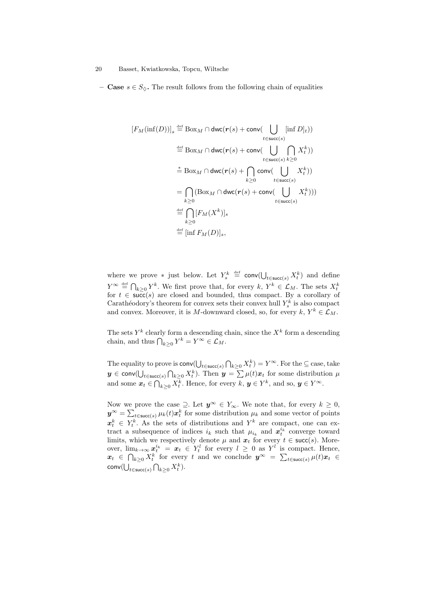– **Case**  $s \in S_0$ . The result follows from the following chain of equalities

$$
[F_M(\inf(D))]_s \stackrel{\text{def}}{=} \text{Box}_M \cap \text{dwc}(r(s) + \text{conv}(\bigcup_{t \in \text{succ}(s)} [\inf D]_t))
$$
  

$$
\stackrel{\text{def}}{=} \text{Box}_M \cap \text{dwc}(r(s) + \text{conv}(\bigcup_{t \in \text{succ}(s)} \bigcap_{k \ge 0} X_t^k))
$$
  

$$
\stackrel{\ast}{=} \text{Box}_M \cap \text{dwc}(r(s) + \bigcap_{k \ge 0} \text{conv}(\bigcup_{t \in \text{succ}(s)} X_t^k))
$$
  

$$
= \bigcap_{k \ge 0} (\text{Box}_M \cap \text{dwc}(r(s) + \text{conv}(\bigcup_{t \in \text{succ}(s)} X_t^k)))
$$
  

$$
\stackrel{\text{def}}{=} \bigcap_{k \ge 0} [F_M(X^k)]_s
$$
  

$$
\stackrel{\text{def}}{=} [\inf F_M(D)]_s,
$$

where we prove  $*$  just below. Let  $Y_s^k \stackrel{\text{def}}{=} \text{conv}(\bigcup_{t \in \text{succ}(s)} X_t^k)$  and define  $Y^{\infty} \stackrel{\text{def}}{=} \bigcap_{k \geq 0} Y^k$ . We first prove that, for every  $k, Y^k \in \mathcal{L}_M$ . The sets  $X_t^k$ for  $t \in \text{succ}(s)$  are closed and bounded, thus compact. By a corollary of Carathéodory's theorem for convex sets their convex hull  $Y_s^k$  is also compact and convex. Moreover, it is M-downward closed, so, for every  $k, Y^k \in \mathcal{L}_M$ .

The sets  $Y^k$  clearly form a descending chain, since the  $X^k$  form a descending chain, and thus  $\bigcap_{k\geq 0} Y^k = Y^{\infty} \in \mathcal{L}_M$ .

The equality to prove is  $\text{conv}(\bigcup_{t \in \text{succ}(s)} \bigcap_{k \geq 0} X_t^k) = Y^{\infty}$ . For the  $\subseteq$  case, take  $\bm{y}\in \mathsf{conv}(\bigcup_{t\in \mathsf{succ}(s)}\bigcap_{k\geq 0}X_t^k).$  Then  $\bm{y}=\sum \mu(t)\bm{x}_t$  for some distribution  $\mu$ and some  $\boldsymbol{x}_t \in \bigcap_{k \geq 0} X_t^k$ . Hence, for every  $k, \boldsymbol{y} \in Y^k$ , and so,  $\boldsymbol{y} \in Y^{\infty}$ .

Now we prove the case  $\supseteq$ . Let  $y^{\infty} \in Y_{\infty}$ . We note that, for every  $k \geq 0$ ,  $y^{\infty} = \sum_{t \in \textsf{succ}(s)} \mu_k(t) x_t^k$  for some distribution  $\mu_k$  and some vector of points  $x_t^k \in Y_t^k$ . As the sets of distributions and  $Y^k$  are compact, one can extract a subsequence of indices  $i_k$  such that  $\mu_{i_k}$  and  $\mathbf{x}_{t}^{i_k}$  converge toward limits, which we respectively denote  $\mu$  and  $x_t$  for every  $t \in \text{succ}(s)$ . Moreover,  $\lim_{k\to\infty} x_t^{i_k} = x_t \in Y_t^l$  for every  $l \geq 0$  as  $Y^l$  is compact. Hence,  $x_t \in \bigcap_{k\geq 0} X_t^k$  for every t and we conclude  $y^{\infty} = \sum_{t \in \text{succ}(s)} \mu(t)x_t$  $\mathsf{conv}(\bigcup_{t \in \mathsf{succ}(s)} \bigcap_{k \geq 0} X_t^k).$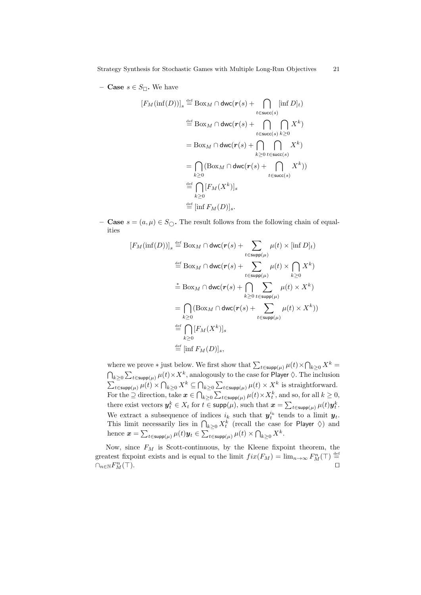– **Case**  $s \in S_{\square}$ . We have

$$
[F_M(\inf(D))]_s \stackrel{\text{def}}{=} \text{Box}_M \cap \text{dwc}(r(s) + \bigcap_{t \in \text{succ}(s)} [\inf D]_t)
$$
  
\n
$$
\stackrel{\text{def}}{=} \text{Box}_M \cap \text{dwc}(r(s) + \bigcap_{t \in \text{succ}(s)} \bigcap_{k \ge 0} X^k)
$$
  
\n
$$
= \text{Box}_M \cap \text{dwc}(r(s) + \bigcap_{k \ge 0} \bigcap_{t \in \text{succ}(s)} X^k)
$$
  
\n
$$
= \bigcap_{k \ge 0} (\text{Box}_M \cap \text{dwc}(r(s) + \bigcap_{t \in \text{succ}(s)} X^k))
$$
  
\n
$$
\stackrel{\text{def}}{=} \bigcap_{k \ge 0} [F_M(X^k)]_s
$$
  
\n
$$
\stackrel{\text{def}}{=} [\inf F_M(D)]_s.
$$

- **Case**  $s = (a, \mu) \in S_{\bigcirc}$ . The result follows from the following chain of equalities

<span id="page-21-0"></span>
$$
[F_M(\inf(D))]_s \stackrel{\text{def}}{=} \text{Box}_M \cap \text{dwc}(r(s) + \sum_{t \in \text{supp}(\mu)} \mu(t) \times [\inf D]_t)
$$
  

$$
\stackrel{\text{def}}{=} \text{Box}_M \cap \text{dwc}(r(s) + \sum_{t \in \text{supp}(\mu)} \mu(t) \times \bigcap_{k \ge 0} X^k)
$$
  

$$
\stackrel{\ast}{=} \text{Box}_M \cap \text{dwc}(r(s) + \bigcap_{k \ge 0} \sum_{t \in \text{supp}(\mu)} \mu(t) \times X^k)
$$
  

$$
= \bigcap_{k \ge 0} (\text{Box}_M \cap \text{dwc}(r(s) + \sum_{t \in \text{supp}(\mu)} \mu(t) \times X^k))
$$
  

$$
\stackrel{\text{def}}{=} \bigcap_{k \ge 0} [F_M(X^k)]_s
$$
  

$$
\stackrel{\text{def}}{=} [\inf F_M(D)]_s,
$$

<span id="page-21-1"></span>where we prove  $*$  just below. We first show that  $\sum_{t \in \text{supp}(\mu)} \mu(t) \times \bigcap_{k \geq 0} X^k =$  $\bigcap_{k\geq 0} \sum_{t\in \mathsf{supp}(\mu)} \mu(t)\times X^k,$  analogously to the case for Player  $\Diamond.$  The inclusion  $\sum_{t \in \text{supp}(\mu)} \mu(t) \times \bigcap_{k \geq 0} X^k \subseteq \bigcap_{k \geq 0} \sum_{t \in \text{supp}(\mu)} \mu(t) \times X^k$  is straightforward. For the  $\supseteq$  direction, take  $\boldsymbol{x} \in \bigcap_{k \geq 0} \sum_{t \in \text{supp}(\mu)} \mu(t) \times X_t^k$ , and so, for all  $k \geq 0$ , there exist vectors  $y_t^k \in X_t$  for  $t \in \mathsf{supp}(\mu)$ , such that  $\boldsymbol{x} = \sum_{t \in \mathsf{supp}(\mu)} \mu(t) y_t^k$ . We extract a subsequence of indices  $i_k$  such that  $y_t^{i_k}$  tends to a limit  $y_t$ . This limit necessarily lies in  $\bigcap_{k\geq 0} X_t^k$  (recall the case for Player  $\Diamond$ ) and hence  $\boldsymbol{x} = \sum_{t \in \mathsf{supp}(\mu)} \mu(t) \boldsymbol{y}_t \in \sum_{t \in \mathsf{supp}(\mu)} \mu(t) \times \bigcap_{k \geq 0} X^k.$ 

Now, since  $F_M$  is Scott-continuous, by the Kleene fixpoint theorem, the greatest fixpoint exists and is equal to the limit  $fix(F_M) = \lim_{n \to \infty} F_M^n(\top) \stackrel{\text{def}}{=}$  $\cap_{n\in\mathbb{N}} F^n_M$  $\mathbb{Z}_M^{n}(\top)$ .  $\Box$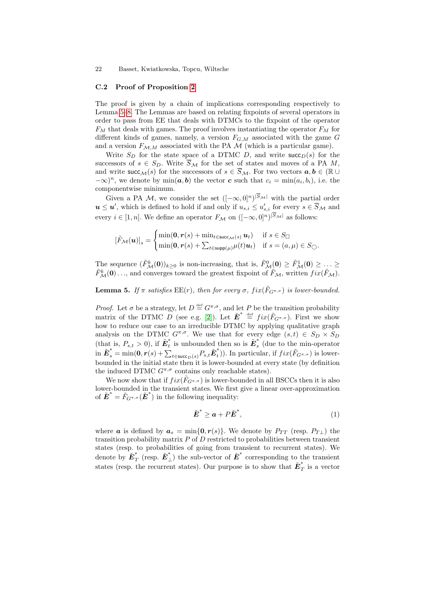#### C.2 Proof of Proposition [2](#page-7-1)

The proof is given by a chain of implications corresponding respectively to Lemma [5](#page-21-0)[–8.](#page-25-0) The Lemmas are based on relating fixpoints of several operators in order to pass from EE that deals with DTMCs to the fixpoint of the operator  $F_M$  that deals with games. The proof involves instantiating the operator  $F_M$  for different kinds of games, namely, a version  $F_{G,M}$  associated with the game G and a version  $F_{\mathcal{M},M}$  associated with the PA  $\mathcal M$  (which is a particular game).

Write  $S_D$  for the state space of a DTMC D, and write succ<sub>D</sub>(s) for the successors of  $s \in S_D$ . Write  $\overline{S}_M$  for the set of states and moves of a PA M, and write succ $\mathcal{M}(s)$  for the successors of  $s \in \overline{S}_{\mathcal{M}}$ . For two vectors  $a, b \in (\mathbb{R} \cup$  $(-\infty)^n$ , we denote by  $\min(a, b)$  the vector c such that  $c_i = \min(a_i, b_i)$ , i.e. the componentwise minimum.

Given a PA M, we consider the set  $([-\infty, 0]^n)^{|S_M|}$  with the partial order  $u \leq u'$ , which is defined to hold if and only if  $u_{s,i} \leq u'_{s,i}$  for every  $s \in \overline{S}_{\mathcal{M}}$  and every  $i \in [1, n]$ . We define an operator  $F_{\mathcal{M}}$  on  $([-\infty, 0]^n)^{|S_{\mathcal{M}}|}$  as follows:

<span id="page-22-3"></span>
$$
[\tilde{F}_{\mathcal{M}}(\boldsymbol{u})]_s = \begin{cases} \min(\mathbf{0}, \mathbf{r}(s) + \min_{t \in \text{succ}_{\mathcal{M}}(s)} \boldsymbol{u}_t) & \text{if } s \in S_{\Box} \\ \min(\mathbf{0}, \mathbf{r}(s) + \sum_{t \in \text{supp}(\mu)} \mu(t) \boldsymbol{u}_t) & \text{if } s = (a, \mu) \in S_{\bigcirc} . \end{cases}
$$

The sequence  $(\tilde{F}_{\mathcal{M}}^{k}(\mathbf{0}))_{k\geq 0}$  is non-increasing, that is,  $\tilde{F}_{\mathcal{M}}^{0}(\mathbf{0}) \geq \tilde{F}_{\mathcal{M}}^{1}(\mathbf{0}) \geq \ldots \geq$  $\tilde{F}_{\mathcal{M}}^{k}(0) \ldots$ , and converges toward the greatest fixpoint of  $\tilde{F}_{\mathcal{M}}$ , written  $fix(\tilde{F}_{\mathcal{M}})$ .

**Lemma 5.** If  $\pi$  satisfies  $\text{EE}(r)$ , then for every  $\sigma$ ,  $fix(\tilde{F}_{G^{\pi,\sigma}})$  is lower-bounded.

*Proof.* Let  $\sigma$  be a strategy, let  $D \stackrel{\text{def}}{=} G^{\pi,\sigma}$ , and let P be the transition probability matrix of the DTMC  $\tilde{D}$  (see e.g. [\[2\]](#page-14-14)). Let  $\tilde{E}^* \stackrel{\text{def}}{=} fix(\tilde{F}_{G^{\pi,\sigma}})$ . First we show how to reduce our case to an irreducible DTMC by applying qualitative graph analysis on the DTMC  $G^{\pi,\sigma}$ . We use that for every edge  $(s,t) \in S_D \times S_D$ (that is,  $P_{s,t} > 0$ ), if  $\tilde{\boldsymbol{E}}_t^*$  $\tilde{t}$  is unbounded then so is  $\tilde{E}^*_s$ s (due to the min-operator  $\tilde{\boldsymbol{E}}_s^* = \min(\boldsymbol{0}, \boldsymbol{r}(s) + \sum_{t \in \mathsf{succ}_D(s)} P_{s,t} \tilde{\boldsymbol{E}}_t^*$  $t(t)$ ). In particular, if  $fix(\tilde{F}_{G^{\pi,\sigma}})$  is lowerbounded in the initial state then it is lower-bounded at every state (by definition the induced DTMC  $G^{\pi,\sigma}$  contains only reachable states).

<span id="page-22-0"></span>We now show that if  $fix(\tilde{F}_{G^{\pi,\sigma}})$  is lower-bounded in all BSCCs then it is also lower-bounded in the transient states. We first give a linear over-approximation of  $\tilde{\mathbf{E}}^* = \tilde{F}_{G^{\pi,\sigma}}(\tilde{\mathbf{E}}^*)$  in the following inequality:

$$
\tilde{\boldsymbol{E}}^* \ge \boldsymbol{a} + P\tilde{\boldsymbol{E}}^*,\tag{1}
$$

<span id="page-22-4"></span><span id="page-22-2"></span><span id="page-22-1"></span>where **a** is defined by  $a_s = \min\{0, r(s)\}\$ . We denote by  $P_{TT}$  (resp.  $P_{T\perp}$ ) the transition probability matrix  $P$  of  $D$  restricted to probabilities between transient states (resp. to probabilities of going from transient to recurrent states). We denote by  $\tilde{\boldsymbol{E}}_7^*$  $_{T}^{*}$  (resp.  $\tilde{\boldsymbol{E}}_{\perp}^{*}$ ) the sub-vector of  $\tilde{\boldsymbol{E}}^{*}$  corresponding to the transient states (resp. the recurrent states). Our purpose is to show that  $\tilde{E}^*_{\mathcal{I}}$  $T$  is a vector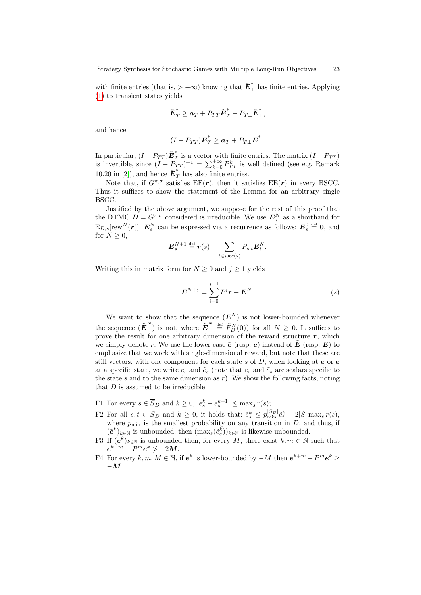with finite entries (that is, > -∞) knowing that  $\tilde{E}_{\perp}^*$  has finite entries. Applying [\(1\)](#page-21-1) to transient states yields

$$
\tilde{\boldsymbol{E}}_T^* \geq \boldsymbol{a}_T + P_{TT} \tilde{\boldsymbol{E}}_T^* + P_{T\perp} \tilde{\boldsymbol{E}}_\perp^*,
$$

and hence

$$
(I - P_{TT})\tilde{\boldsymbol{E}}_T^* \geq \boldsymbol{a}_T + P_{T\perp}\tilde{\boldsymbol{E}}_\perp^*.
$$

In particular,  $(I - P_{TT})\tilde{\boldsymbol{E}}_T^*$  $T$  is a vector with finite entries. The matrix  $(I - P_{TT})$ is invertible, since  $(I - P_{TT})^{-1} = \sum_{k=0}^{+\infty} P_{TT}^k$  is well defined (see e.g. Remark 10.20 in [\[2\]](#page-14-14)), and hence  $\tilde{\boldsymbol{E}}_T^*$  has also finite entries.

Note that, if  $G^{\pi,\sigma}$  satisfies  $EE(\mathbf{r})$ , then it satisfies  $EE(\mathbf{r})$  in every BSCC. Thus it suffices to show the statement of the Lemma for an arbitrary single BSCC.

Justified by the above argument, we suppose for the rest of this proof that the DTMC  $D = G^{\pi,\sigma}$  considered is irreducible. We use  $\mathbf{E}_s^N$  as a shorthand for  $\mathbb{E}_{D,s}[\text{rew}^N(\bm{r})].$   $\bm{E}^N_s$  can be expressed via a recurrence as follows:  $\bm{E}^0_s \stackrel{\text{def}}{=} \bm{0}$ , and for  $N \geq 0$ ,

$$
\boldsymbol{E}_s^{N+1} \stackrel{\text{def}}{=} \boldsymbol{r}(s) + \sum_{t \in \text{succ}(s)} P_{s,t} \boldsymbol{E}_t^N.
$$

Writing this in matrix form for  $N \geq 0$  and  $j \geq 1$  yields

$$
E^{N+j} = \sum_{i=0}^{j-1} P^i r + E^N.
$$
 (2)

We want to show that the sequence  $(E^N)$  is not lower-bounded whenever the sequence  $(\tilde{E}^N)$  is not, where  $\tilde{E}^N \stackrel{\text{def}}{=} \tilde{F}_D^N(\mathbf{0})$  for all  $N \geq 0$ . It suffices to prove the result for one arbitrary dimension of the reward structure  $r$ , which we simply denote r. We use the lower case  $\tilde{e}$  (resp. e) instead of  $\tilde{E}$  (resp.  $E$ ) to emphasize that we work with single-dimensional reward, but note that these are still vectors, with one component for each state s of  $D$ ; when looking at  $\tilde{e}$  or  $e$ at a specific state, we write  $e_s$  and  $\tilde{e}_s$  (note that  $e_s$  and  $\tilde{e}_s$  are scalars specific to the state s and to the same dimension as  $r$ ). We show the following facts, noting that  $D$  is assumed to be irreducible:

- F1 For every  $s \in \overline{S}_D$  and  $k \geq 0$ ,  $|\tilde{e}_s^k \tilde{e}_s^{k+1}| \leq \max_s r(s);$
- F2 For all  $s, t \in \overline{S}_D$  and  $k \geq 0$ , it holds that:  $\tilde{e}_s^k \leq p_{\min}^{|S_D|} \tilde{e}_t^k + 2|\bar{S}| \max_s r(s)$ , where  $p_{\min}$  is the smallest probability on any transition in D, and thus, if  $(\tilde{e}^k)_{k\in\mathbb{N}}$  is unbounded, then  $(\max_s(\tilde{e}_s^k))_{k\in\mathbb{N}}$  is likewise unbounded.
- F3 If  $(\tilde{e}^k)_{k\in\mathbb{N}}$  is unbounded then, for every M, there exist  $k, m \in \mathbb{N}$  such that  $e^{k+m}-P^m e^{k} \not > -2M.$
- F4 For every  $k, m, M \in \mathbb{N}$ , if  $e^k$  is lower-bounded by  $-M$  then  $e^{k+m} P^m e^k \geq$  $-M$ .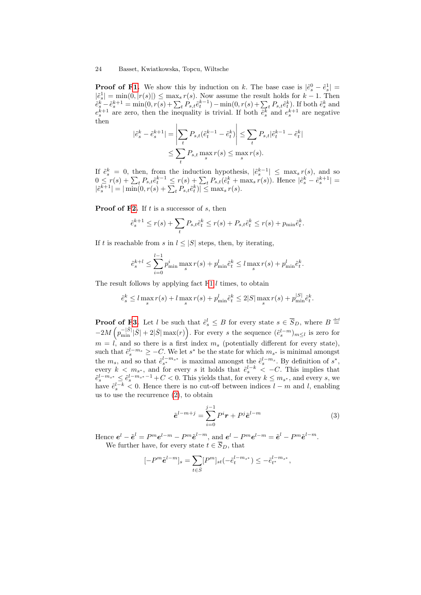$\overline{\phantom{a}}$ 

**Proof of [F1.](#page-22-0)** We show this by induction on k. The base case is  $|\tilde{e}_s^0 - \tilde{e}_s^1|$  =  $|\tilde{e}_s^1| = \min(0, |r(s)|) \leq \max_s r(s)$ . Now assume the result holds for  $k-1$ . Then  $\tilde{e}^k_s - \tilde{e}^{k+1}_s = \min(0, r(s) + \sum_t P_{s,t} \tilde{e}^{k-1}_t) - \min(0, r(s) + \sum_t P_{s,t} \tilde{e}^k_t)$ . If both  $\tilde{e}^k_s$  and  $e^{k+1}_s$  are zero, then the inequality is trivial. If both  $\tilde{e}^k_s$  and  $e^{k+1}_s$  are negative then

$$
\tilde{e}_s^k - \tilde{e}_s^{k+1}| = \left| \sum_t P_{s,t} (\tilde{e}_t^{k-1} - \tilde{e}_t^k) \right| \le \sum_t P_{s,t} |\tilde{e}_t^{k-1} - \tilde{e}_t^k|
$$
  

$$
\le \sum_t P_{s,t} \max_s r(s) \le \max_s r(s).
$$

If  $\tilde{e}_s^k = 0$ , then, from the induction hypothesis,  $|\tilde{e}_s^{k-1}| \leq \max_s r(s)$ , and so  $0 \leq r(s) + \sum_{t} P_{s,t} \tilde{e}_{t}^{k-1} \leq r(s) + \sum_{t} P_{s,t} (\tilde{e}_{t}^{k} + \max_{s} r(s)).$  Hence  $|\tilde{e}_{s}^{k} - \tilde{e}_{s}^{k+1}|$  $|\tilde{e}_s^{k+1}| = |\min(0, r(s) + \sum_t P_{s,t} \tilde{e}_t^k)| \le \max_s r(s).$ 

**Proof of [F2.](#page-22-1)** If  $t$  is a successor of  $s$ , then

$$
\tilde{e}_s^{k+1} \le r(s) + \sum_t P_{s,t} \tilde{e}_t^k \le r(s) + P_{s,t} \tilde{e}_t^k \le r(s) + p_{\min} \tilde{e}_t^k.
$$

If t is reachable from s in  $l \leq |S|$  steps, then, by iterating,

$$
\tilde{e}_{s}^{k+l} \leq \sum_{i=0}^{l-1} p_{\min}^i \max_{s} r(s) + p_{\min}^l \tilde{e}_t^k \leq l \max_{s} r(s) + p_{\min}^l \tilde{e}_t^k.
$$

<span id="page-24-0"></span>The result follows by applying fact  $F1$  l times, to obtain

$$
\tilde{e}_s^k \le l \max_s r(s) + l \max_s r(s) + p_{\min}^l \tilde{e}_t^k \le 2|S| \max_s r(s) + p_{\min}^{|S|} \tilde{e}_t^k.
$$

**Proof of [F3.](#page-22-2)** Let l be such that  $\tilde{e}^l_s \leq B$  for every state  $s \in \overline{S}_D$ , where  $B \stackrel{\text{def}}{=}$  $-2M\left(p_{\min}^{-|\bar{S}|}|\bar{S}|+2|\bar{S}|\max(r)\right)$ . For every s the sequence  $(\tilde{e}_{s}^{l-m})_{m\leq l}$  is zero for  $m = l$ , and so there is a first index  $m_s$  (potentially different for every state), such that  $\tilde{e}_{s}^{l-m_s} \geq -C$ . We let  $s^*$  be the state for which  $m_{s^*}$  is minimal amongst the  $m_s$ , and so that  $\tilde{e}_{s^*}^{l-m_{s^*}}$  is maximal amongst the  $\tilde{e}_{s}^{l-m_s}$ . By definition of  $s^*$ , every  $k < m_{s^*}$ , and for every s it holds that  $\tilde{e}_s^{l-k} < -C$ . This implies that  $\tilde{e}_s^{l-m_{s^*}} \leq \tilde{e}_s^{l-m_{s^*}-1} + C < 0$ . This yields that, for every  $k \leq m_{s^*}$ , and every s, we have  $\tilde{e}_{s}^{l-k}$  < 0. Hence there is no cut-off between indices  $l - m$  and l, enabling us to use the recurrence [\(2\)](#page-22-3), to obtain

$$
\tilde{e}^{l-m+j} = \sum_{i=0}^{j-1} P^i \mathbf{r} + P^j \tilde{e}^{l-m} \tag{3}
$$

<span id="page-24-1"></span>Hence  $e^l - \tilde{e}^l = P^m e^{l-m} - P^m \tilde{e}^{l-m}$ , and  $e^l - P^m e^{l-m} = \tilde{e}^l - P^m \tilde{e}^{l-m}$ . We further have, for every state  $t \in \overline{S}_D$ , that

$$
[-P^m \tilde{\pmb e}^{l-m}]_s = \sum_{t \in \bar{S}} [P^m]_{st} (-\tilde{e}^{l - m_{s^*}}_t) \le - \tilde{e}^{l - m_{s^*}}_{t^*},
$$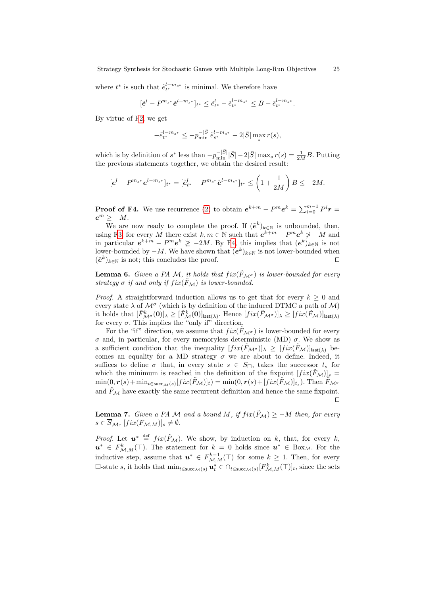where  $t^*$  is such that  $\tilde{e}_{t^*}^{l-m_{s^*}}$  is minimal. We therefore have

$$
[\tilde{\textbf{e}}^l-P^{m_{s^*}}\tilde{\textbf{e}}^{l-m_{s^*}}]_{t^*}\leq \tilde{e}^l_{t^*}-\tilde{e}^{l-m_{s^*}}_{t^*}\leq B-\tilde{e}^{l-m_{s^*}}_{t^*}.
$$

By virtue of [F2,](#page-22-1) we get

$$
-\tilde{e}_{t^*}^{l-m_{s^*}} \le -p_{\min}^{-|\bar{S}|} \tilde{e}_{s^*}^{l-m_{s^*}} - 2|\bar{S}| \max_{s} r(s),
$$

<span id="page-25-0"></span>which is by definition of  $s^*$  less than  $-p_{\min}^{-|\bar{S}|}|\bar{S}|-2|\bar{S}|\max_s r(s)=\frac{1}{2M}B$ . Putting the previous statements together, we obtain the desired result:

$$
[e^{l} - P^{m_{s^*}} e^{l - m_{s^*}}]_{t^*} = [\tilde{e}_{t^*}^l - P^{m_{s^*}} \tilde{e}^{l - m_{s^*}}]_{t^*} \le \left(1 + \frac{1}{2M}\right) B \le -2M.
$$

**Proof of F4.** We use recurrence [\(2\)](#page-22-3) to obtain  $e^{k+m} - P^m e^k = \sum_{i=0}^{m-1} P^i r =$  $e^m \geq -M$ .

We are now ready to complete the proof. If  $(\tilde{e}^k)_{k\in\mathbb{N}}$  is unbounded, then, using [F3,](#page-22-2) for every M there exist  $k, m \in \mathbb{N}$  such that  $e^{k+m} - P^m e^k \nsucceq -M$  and in particular  $e^{k+m} - P^m e^k \not\geq -2M$ . By [F4,](#page-22-4) this implies that  $(e^k)_{k \in \mathbb{N}}$  is not lower-bounded by  $-M$ . We have shown that  $(e^k)_{k \in \mathbb{N}}$  is not lower-bounded when  $(\tilde{e}^k)_{k\in\mathbb{N}}$  is not; this concludes the proof. □

**Lemma 6.** *Given a PA M, it holds that*  $fix(\tilde{F}_{\mathcal{M}^{\sigma}})$  *is lower-bounded for every strategy*  $\sigma$  *if and only if*  $fix(\tilde{F}_{\mathcal{M}})$  *is lower-bounded.* 

<span id="page-25-1"></span>*Proof.* A straightforward induction allows us to get that for every  $k > 0$  and every state  $\lambda$  of  $\mathcal{M}^{\sigma}$  (which is by definition of the induced DTMC a path of  $\mathcal{M}$ ) it holds that  $[\tilde{F}_{\mathcal{M}^{\sigma}}^{k}(\mathbf{0})]_{\lambda} \geq [\tilde{F}_{\mathcal{M}}^{k}(\mathbf{0})]_{\text{last}(\lambda)}$ . Hence  $[fix(\tilde{F}_{\mathcal{M}^{\sigma}})]_{\lambda} \geq [fix(\tilde{F}_{\mathcal{M}})]_{\text{last}(\lambda)}$ for every  $\sigma$ . This implies the "only if" direction.

<span id="page-25-2"></span>For the "if" direction, we assume that  $fix(\tilde{F}_{\mathcal{M}^{\sigma}})$  is lower-bounded for every σ and, in particular, for every memoryless deterministic (MD) σ. We show as a sufficient condition that the inequality  $[fix(\tilde{F}_{\mathcal{M}^\sigma})]_{\lambda} \geq [fix(\tilde{F}_{\mathcal{M}})]_{\text{last}(\lambda)}$  becomes an equality for a MD strategy  $\sigma$  we are about to define. Indeed, it suffices to define  $\sigma$  that, in every state  $s \in S_{\Box}$ , takes the successor  $t_s$  for which the minimum is reached in the definition of the fixpoint  $[fix(\hat{F}_{\mathcal{M}})]_s =$  $\min(0, r(s) + \min_{t \in \textsf{succ}_{\mathcal{M}}(s)} [fix(\tilde{F}_{\mathcal{M}})]_t) = \min(0, r(s) + [fix(\tilde{F}_{\mathcal{M}})]_{t_s}).$  Then  $\tilde{F}_{\mathcal{M}^\sigma}$ and  $\tilde{F}_{\mathcal{M}}$  have exactly the same recurrent definition and hence the same fixpoint. ⊓⊔

**Lemma 7.** *Given a PA*  $M$  *and a bound*  $M$ , *if*  $fix(\tilde{F}_{M}) \ge -M$  *then, for every*  $s \in \overline{S}_{\mathcal{M}}$ ,  $[fix(F_{\mathcal{M},M})]_s \neq \emptyset$ .

*Proof.* Let  $u^* \stackrel{\text{def}}{=} fix(\tilde{F}_M)$ . We show, by induction on k, that, for every k,  $u^* \in F^k_{\mathcal{M},M}(\top)$ . The statement for  $k = 0$  holds since  $u^* \in Box_M$ . For the inductive step, assume that  $u^* \in F^{k-1}_{\mathcal{M},M}(\top)$  for some  $k \geq 1$ . Then, for every □-state s, it holds that  $\min_{t \in \text{succ}_{\mathcal{M}}(s)} u_t^* \in \bigcap_{t \in \text{succ}_{\mathcal{M}}(s)} [F_{\mathcal{M},M}^k(\top)]_t$ , since the sets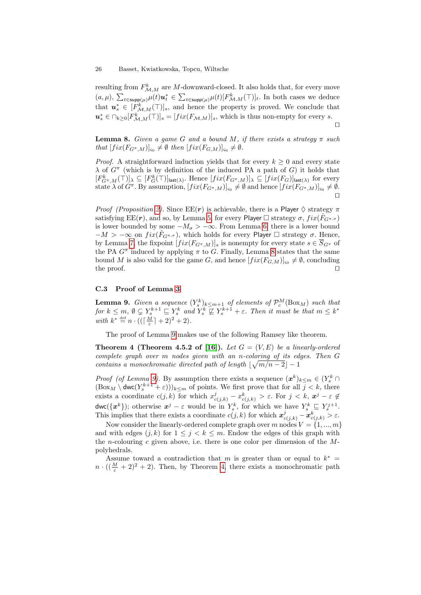resulting from  $F^k_{\mathcal{M},M}$  are M-downward-closed. It also holds that, for every move  $(a,\mu), \sum_{t \in \text{supp}(\mu)} \mu(t) u_t^* \in \sum_{t \in \text{supp}(\mu)} \mu(t) [F^k_{\mathcal{M},M}(\top)]_t$ . In both cases we deduce that  $u_s^* \in [F_{\mathcal{M},M}^k(\top)]_s$ , and hence the property is proved. We conclude that  $u_s^* \in \bigcap_{k \geq 0} [F_{\mathcal{M},M}^k(\top)]_s = [fix(F_{\mathcal{M},M})]_s$ , which is thus non-empty for every s. ⊓⊔

**Lemma 8.** *Given a game G and a bound M*, *if there exists a strategy*  $\pi$  *such*  $that \left[ fix(F_{G^{\pi},M})\right]_{\varsigma_{0}} \neq \emptyset \ then \left[ fix(F_{G,M})\right]_{\varsigma_{0}} \neq \emptyset.$ 

*Proof.* A straightforward induction yields that for every  $k \geq 0$  and every state  $\lambda$  of  $G^{\pi}$  (which is by definition of the induced PA a path of G) it holds that  $[F_{G^{\pi},M}^k(\top)]_{\lambda} \subseteq [F_G^k(\top)]_{\text{last}(\lambda)}$ . Hence  $[fix(F_{G^{\pi},M})]_{\lambda} \subseteq [fix(F_G)]_{\text{last}(\lambda)}$  for every state  $\lambda$  of  $G^{\pi}$ . By assumption,  $[fix(F_{G^{\pi},M})]_{\varsigma_0} \neq \emptyset$  and hence  $[fix(F_{G^{\pi},M})]_{\varsigma_0} \neq \emptyset$ . ⊓⊔

*Proof (Proposition [2\)](#page-7-1).* Since  $EE(r)$  is achievable, there is a Player  $\Diamond$  strategy  $\pi$ satisfying  $\text{EE}(\mathbf{r})$ , and so, by Lemma [5,](#page-21-0) for every Player  $\Box$  strategy  $\sigma$ ,  $fix(F_{G^{\pi,\sigma}})$ is lower bounded by some  $-M_{\sigma} > -\infty$ . From Lemma [6,](#page-24-0) there is a lower bound  $-M > -\infty$  on  $fix(F_{G^{\pi,\sigma}})$ , which holds for every Player  $\Box$  strategy  $\sigma$ . Hence, by Lemma [7,](#page-24-1) the fixpoint  $[fix(F_{G^{\pi},M})]_s$  is nonempty for every state  $s \in \overline{S}_{G^{\pi}}$  of the PA  $G^{\pi}$  induced by applying  $\pi$  to G. Finally, Lemma [8](#page-25-0) states that the same bound M is also valid for the game G, and hence  $[fix(F_{G,M})]_{\text{so}} \neq \emptyset$ , concluding the proof. □

#### C.3 Proof of Lemma [3](#page-8-0)

**Lemma 9.** *Given a sequence*  $(Y_s^k)_{k \leq m+1}$  *of elements of*  $\mathcal{P}_c^M(\text{Box}_M)$  *such that for*  $k \leq m$ ,  $\emptyset \subsetneq Y_s^{k+1} \sqsubseteq Y_s^k$  *and*  $Y_s^k \not\sqsubseteq Y_s^{k+1} + \varepsilon$ . *Then it must be that*  $m \leq k^*$ with  $k^* \stackrel{\text{def}}{=} n \cdot ((\lceil \frac{M}{\varepsilon} \rceil + 2)^2 + 2).$ 

The proof of Lemma [9](#page-25-1) makes use of the following Ramsey like theorem.

**Theorem 4 (Theorem 4.5.2 of [\[16\]](#page-15-5)).** *Let*  $G = (V, E)$  *be a linearly-ordered complete graph over* m *nodes given with an* n*-coloring of its edges. Then* G *contains a monochromatic directed path of length*  $\lfloor \sqrt{m/n-2} \rfloor - 1$ 

*Proof (of Lemma [9\)](#page-25-1)*. By assumption there exists a sequence  $(x^k)_{k \leq m} \in (Y_s^k \cap$  $(\text{Box}_M \setminus \text{dwc}(Y_s^{k+1} + \varepsilon)))_{k \leq m}$  of points. We first prove that for all  $\overline{j} \leq k$ , there exists a coordinate  $c(j,k)$  for which  $x_{c(j,k)}^j - x_{c(j,k)}^k > \varepsilon$ . For  $j < k$ ,  $x^j - \varepsilon \notin$  $\mathsf{dwc}(\{\boldsymbol{x}^k\})$ ; otherwise  $\boldsymbol{x}^j - \varepsilon$  would be in  $Y_s^k$ , for which we have  $Y_s^k \subseteq Y_s^{j+1}$ . This implies that there exists a coordinate  $c(j, k)$  for which  $\mathbf{x}_{c(j,k)}^j - \mathbf{x}_{c(j,k)}^k > \varepsilon$ .

Now consider the linearly-ordered complete graph over m nodes  $V = \{1, ..., m\}$ and with edges  $(j, k)$  for  $1 \leq j \leq k \leq m$ . Endow the edges of this graph with the *n*-colouring c given above, i.e. there is one color per dimension of the  $M$ polyhedrals.

<span id="page-26-0"></span>Assume toward a contradiction that m is greater than or equal to  $k^*$  =  $n \cdot ((\frac{M}{\varepsilon} + 2)^2 + 2)$ . Then, by Theorem [4,](#page-25-2) there exists a monochromatic path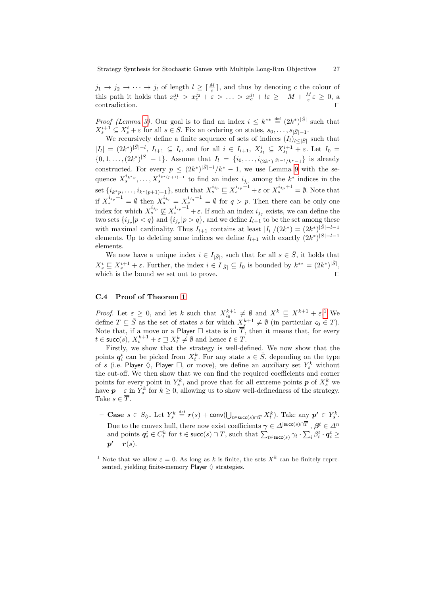$j_1 \to j_2 \to \cdots \to j_l$  of length  $l \geq \lceil \frac{M}{\varepsilon} \rceil$ , and thus by denoting c the colour of this path it holds that  $x_c^{j_1} > x_c^{j_2} + \varepsilon > \ldots > x_c^{j_l} + l\varepsilon \ge -M + \frac{M}{\varepsilon} \varepsilon \ge 0$ , a contradiction.

*Proof (Lemma [3\)](#page-8-0)*. Our goal is to find an index  $i \leq k^{**} \stackrel{\text{def}}{=} (2k^*)^{\vert \bar{S} \vert}$  such that  $X_s^{i+1} \subseteq X_s^i + \varepsilon$  for all  $s \in \overline{S}$ . Fix an ordering on states,  $s_0, \ldots, s_{|\overline{S}|-1}$ .

We recursively define a finite sequence of sets of indices  $(I_l)_{l \leq |\bar{S}|}$  such that  $|I_l| = (2k^*)^{|S|-l}, I_{l+1} \subseteq I_l$ , and for all  $i \in I_{l+1}, X_{s_l}^i \subseteq X_{s_l}^{i+1} + \varepsilon$ . Let  $I_0 =$  $\{0, 1, \ldots, (2k^*)^{\vert \bar{S} \vert} - 1\}$ . Assume that  $I_l = \{i_0, \ldots, i_{(2k^*)^{\vert \bar{S} \vert - l}/k^*-1}\}$  is already constructed. For every  $p \leq (2k^*)^{\vert \bar{S} \vert - l} / k^* - 1$ , we use Lemma [9](#page-25-1) with the sequence  $X_s^{i_{k^*p}}, \ldots, X_s^{i_{k^*(p+1)-1}}$  to find an index  $i_{j_p}$  among the  $k^*$  indices in the set  $\{i_{k^*p},\ldots,i_{k^*(p+1)-1}\}$ , such that  $X_s^{i_{jp}} \sqsubseteq X_s^{i_{jp}+1} + \varepsilon$  or  $X_s^{i_{jp}+1} = \emptyset$ . Note that if  $X_s^{i_{j_p}+1} = \emptyset$  then  $X_s^{i_{j_q}} = X_s^{i_{j_q}+1} = \emptyset$  for  $q > p$ . Then there can be only one index for which  $X_s^{i_{j_p}} \not\sqsubseteq X_s^{i_{j_p}+1} + \varepsilon$ . If such an index  $i_{j_q}$  exists, we can define the two sets  $\{i_{j_p}|p < q\}$  and  $\{i_{j_p}|p > q\}$ , and we define  $I_{l+1}$  to be the set among these with maximal cardinality. Thus  $I_{l+1}$  contains at least  $|I_l|/(2k^*) = (2k^*)^{\vert \bar{S} \vert - l-1}$ elements. Up to deleting some indices we define  $I_{l+1}$  with exactly  $(2k^*)^{|\bar{S}|-l-1}$ elements.

We now have a unique index  $i \in I_{|\bar{S}|}$ , such that for all  $s \in \bar{S}$ , it holds that  $X_s^i \subseteq X_s^{i+1} + \varepsilon$ . Further, the index  $i \in I_{|\bar{S}|} \subseteq I_0$  is bounded by  $k^{**} = (2k^*)^{|S|}$ , which is the bound we set out to prove.

# C.4 Proof of Theorem [1](#page-9-1)

*Proof.* Let  $\varepsilon \geq 0$ , and let k such that  $X_{\varsigma_0}^{k+1} \neq \emptyset$  $X_{\varsigma_0}^{k+1} \neq \emptyset$  $X_{\varsigma_0}^{k+1} \neq \emptyset$  and  $X^k \subseteq X^{k+1} + \varepsilon^1$ . We define  $\overline{T} \subseteq \overline{S}$  as the set of states s for which  $X_s^{k+1} \neq \emptyset$  (in particular  $\varsigma_0 \in \overline{T}$ ). Note that, if a move or a Player  $\Box$  state is in  $\overline{T}$ , then it means that, for every  $t \in \text{succ}(s), X_t^{k+1} + \varepsilon \sqsupseteq X_t^k \neq \emptyset$  and hence  $t \in \overline{T}$ .

Firstly, we show that the strategy is well-defined. We now show that the points  $q_i^t$  can be picked from  $X_t^k$ . For any state  $s \in \overline{S}$ , depending on the type of s (i.e. Player  $\Diamond$ , Player  $\Box$ , or move), we define an auxiliary set  $Y_s^k$  without the cut-off. We then show that we can find the required coefficients and corner points for every point in  $Y_s^k$ , and prove that for all extreme points  $p$  of  $X_s^k$  we have  $p - \varepsilon$  in  $Y_s^k$  for  $k \geq 0$ , allowing us to show well-definedness of the strategy. Take  $s \in \overline{T}$ .

- Case  $s \in S_{\lozenge}$ . Let  $Y_s^k \stackrel{\text{def}}{=} r(s) + \text{conv}(\bigcup_{t \in \text{succ}(s) \cap T} X_t^k)$ . Take any  $p' \in Y_s^k$ . Due to the convex hull, there now exist coefficients  $\gamma \in \Delta^{|\text{succ}(s) \cap T|}, \beta^t \in \Delta^n$ and points  $q_i^t \in C_t^k$  for  $t \in \text{succ}(s) \cap \overline{T}$ , such that  $\sum_{t \in \text{succ}(s)} \gamma_t \cdot \sum_i \beta_i^t \cdot q_i^t \geq$  $p' - r(s)$ .

<sup>&</sup>lt;sup>1</sup> Note that we allow  $\varepsilon = 0$ . As long as k is finite, the sets  $X<sup>k</sup>$  can be finitely represented, yielding finite-memory Player  $\diamond$  strategies.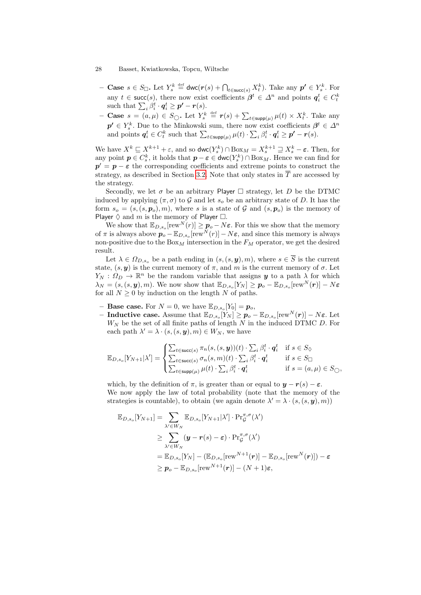- **Case**  $s \in S_{\Box}$ . Let  $Y_s^k \stackrel{\text{def}}{=} \text{dwc}(r(s) + \bigcap_{t \in \text{succ}(s)} X_t^k)$ . Take any  $p' \in Y_s^k$ . For any  $t \in \text{succ}(s)$ , there now exist coefficients  $\beta^t \in \Delta^n$  and points  $q_i^t \in C_t^k$ such that  $\sum_i \beta_i^t \cdot \boldsymbol{q}_i^t \geq \boldsymbol{p'} - \boldsymbol{r}(s)$ .
- Case  $s = (a, μ) ∈ S_{\bigcirc}$ . Let  $Y_s^k ≝ r(s) + \sum_{t \in \text{supp}(\mu)} μ(t) × X_t^k$ . Take any  $p' \in Y_s^k$ . Due to the Minkowski sum, there now exist coefficients  $\beta^t \in \Delta^n$ and points  $q_i^t \in C_t^k$  such that  $\sum_{t \in \text{supp}(\mu)} \mu(t) \cdot \sum_i \beta_i^t \cdot q_i^t \geq p' - r(s)$ .

We have  $X^k \sqsubseteq X^{k+1} + \varepsilon$ , and so  $\mathsf{dwc}(Y_s^k) \cap \text{Box}_M = X_s^{k+1} \sqsupseteq X_s^k - \varepsilon$ . Then, for any point  $p \in C_s^k$ , it holds that  $p - \varepsilon \in \text{dwc}(Y_s^k) \cap \text{Box}_M$ . Hence we can find for  $p' = p - \varepsilon$  the corresponding coefficients and extreme points to construct the strategy, as described in Section [3.2.](#page-6-2) Note that only states in  $\overline{T}$  are accessed by the strategy.

Secondly, we let  $\sigma$  be an arbitrary Player  $\Box$  strategy, let D be the DTMC induced by applying  $(\pi, \sigma)$  to G and let  $s_o$  be an arbitrary state of D. It has the form  $s_o = (s,(s, p_o), m)$ , where s is a state of G and  $(s, p_o)$  is the memory of Player  $\diamond$  and m is the memory of Player  $\square$ .

We show that  $\mathbb{E}_{D,s_o}[\text{rew}^N(r)] \geq p_o - N\varepsilon$ . For this we show that the memory of  $\pi$  is always above  $p_o - \mathbb{E}_{D,s_o}[\text{rew}^N(r)] - N\varepsilon$ , and since this memory is always non-positive due to the  $Box_M$  intersection in the  $F_M$  operator, we get the desired result.

Let  $\lambda \in \Omega_{D,s_0}$  be a path ending in  $(s,(s,\boldsymbol{y}),m)$ , where  $s \in \overline{S}$  is the current state,  $(s, y)$  is the current memory of  $\pi$ , and m is the current memory of  $\sigma$ . Let  $Y_N: \Omega_D \to \mathbb{R}^n$  be the random variable that assigns  $y$  to a path  $\lambda$  for which  $\lambda_N = (s, (s, \bm{y}), m)$ . We now show that  $\mathbb{E}_{D, s_o}[Y_N] \ge \bm{p}_o - \mathbb{E}_{D, s_o}[\text{rew}^N(\bm{r})] - N\bm{\varepsilon}$ for all  $N > 0$  by induction on the length N of paths.

- **Base case.** For  $N = 0$ , we have  $\mathbb{E}_{D,s_o}[Y_0] = p_o$ ,
- $− \textbf{ Inductive case.} \text{ Assume that } \mathbb{E}_{D, s_o}[Y_N] \ge \boldsymbol{p}_o \mathbb{E}_{D, s_o}[\text{rew}^N(\boldsymbol{r})] N \boldsymbol{\varepsilon}.$  Let  $W_N$  be the set of all finite paths of length N in the induced DTMC D. For each path  $\lambda' = \lambda \cdot (s, (s, y), m) \in W_N$ , we have

$$
\mathbb{E}_{D,s_o}[Y_{N+1}|\lambda'] = \begin{cases} \sum_{t \in \text{succ}(s)} \pi_n(s,(s,\boldsymbol{y}))(t) \cdot \sum_i \beta_i^t \cdot \boldsymbol{q}_i^t & \text{if } s \in S_{\lozenge} \\ \sum_{t \in \text{succ}(s)} \sigma_n(s,m)(t) \cdot \sum_i \beta_i^t \cdot \boldsymbol{q}_i^t & \text{if } s \in S_{\square} \\ \sum_{t \in \text{supp}(\mu)} \mu(t) \cdot \sum_i \beta_i^t \cdot \boldsymbol{q}_i^t & \text{if } s = (a,\mu) \in S_{\square}, \end{cases}
$$

which, by the definition of  $\pi$ , is greater than or equal to  $y - r(s) - \varepsilon$ . We now apply the law of total probability (note that the memory of the strategies is countable), to obtain (we again denote  $\lambda' = \lambda \cdot (s, (s, y), m)$ )

$$
\mathbb{E}_{D,s_o}[Y_{N+1}] = \sum_{\lambda' \in W_N} \mathbb{E}_{D,s_o}[Y_{N+1}|\lambda'] \cdot \Pr_{\mathcal{G}}^{\pi,\sigma}(\lambda')
$$
\n
$$
\geq \sum_{\lambda' \in W_N} (\mathbf{y} - \mathbf{r}(s) - \varepsilon) \cdot \Pr_{\mathcal{G}}^{\pi,\sigma}(\lambda')
$$
\n
$$
= \mathbb{E}_{D,s_o}[Y_N] - (\mathbb{E}_{D,s_o}[\text{rew}^{N+1}(\mathbf{r})] - \mathbb{E}_{D,s_o}[\text{rew}^{N}(\mathbf{r})]) - \varepsilon
$$
\n
$$
\geq \mathbf{p}_o - \mathbb{E}_{D,s_o}[\text{rew}^{N+1}(\mathbf{r})] - (N+1)\varepsilon,
$$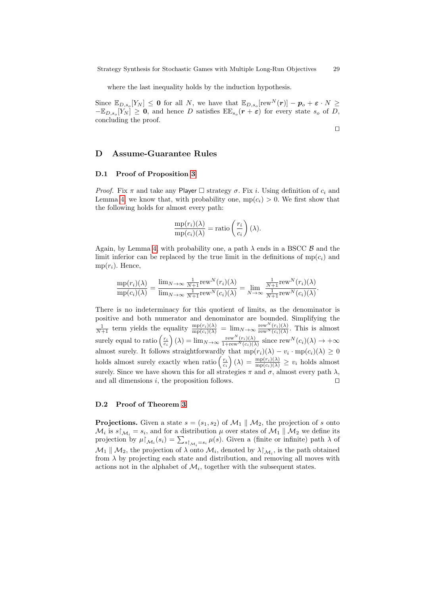where the last inequality holds by the induction hypothesis.

Since  $\mathbb{E}_{D,s_o}[Y_N] \leq 0$  for all N, we have that  $\mathbb{E}_{D,s_o}[\text{rew}^N(\boldsymbol{r})] - p_o + \varepsilon \cdot N \geq$  $-\mathbb{E}_{D,s_o}[Y_N] \geq 0$ , and hence D satisfies  $\mathbb{E} \mathbb{E}_{s_o}(r+\varepsilon)$  for every state  $s_o$  of D, concluding the proof.

⊓⊔

# <span id="page-29-0"></span>D Assume-Guarantee Rules

#### D.1 Proof of Proposition [3](#page-10-2)

*Proof.* Fix  $\pi$  and take any Player  $\Box$  strategy  $\sigma$ . Fix i. Using definition of  $c_i$  and Lemma [4,](#page-17-0) we know that, with probability one,  $mp(c_i) > 0$ . We first show that the following holds for almost every path:

$$
\frac{\text{mp}(r_i)(\lambda)}{\text{mp}(c_i)(\lambda)} = \text{ratio}\left(\frac{r_i}{c_i}\right)(\lambda).
$$

Again, by Lemma [4,](#page-17-0) with probability one, a path  $\lambda$  ends in a BSCC  $\beta$  and the limit inferior can be replaced by the true limit in the definitions of  $mp(c_i)$  and  $mp(r_i)$ . Hence,

$$
\frac{\mathrm{mp}(r_i)(\lambda)}{\mathrm{mp}(c_i)(\lambda)} = \frac{\lim_{N \to \infty} \frac{1}{N+1} \mathrm{rew}^N(r_i)(\lambda)}{\lim_{N \to \infty} \frac{1}{N+1} \mathrm{rew}^N(c_i)(\lambda)} = \lim_{N \to \infty} \frac{\frac{1}{N+1} \mathrm{rew}^N(r_i)(\lambda)}{\frac{1}{N+1} \mathrm{rew}^N(c_i)(\lambda)}.
$$

There is no indeterminacy for this quotient of limits, as the denominator is positive and both numerator and denominator are bounded. Simplifying the  $\frac{1}{N+1}$  term yields the equality  $\frac{mp(r_i)(\lambda)}{mp(c_i)(\lambda)} = \lim_{N \to \infty} \frac{rew^N(r_i)(\lambda)}{rew^N(c_i)(\lambda)}$  $\frac{\text{rew } (r_i)(\lambda)}{\text{rew } N(c_i)(\lambda)}$ . This is almost surely equal to ratio  $\left(\frac{r_i}{c_i}\right)(\lambda) = \lim_{N \to \infty} \frac{\text{rew}^N(r_i)(\lambda)}{1 + \text{rew}^N(c_i)(\lambda)}$  $\frac{\text{rew''}(r_i)(\lambda)}{1+\text{rew''}(c_i)(\lambda)}$  since  $\text{rew''}(c_i)(\lambda) \to +\infty$ almost surely. It follows straightforwardly that  $mp(r_i)(\lambda) - v_i \cdot mp(c_i)(\lambda) \geq 0$ holds almost surely exactly when ratio  $\left(\frac{r_i}{c_i}\right)(\lambda) = \frac{mp(r_i)(\lambda)}{mp(c_i)(\lambda)} \geq v_i$  holds almost surely. Since we have shown this for all strategies  $\pi$  and  $\sigma$ , almost every path  $\lambda$ , and all dimensions i, the proposition follows. □

#### D.2 Proof of Theorem [3](#page-10-0)

**Projections.** Given a state  $s = (s_1, s_2)$  of  $\mathcal{M}_1 \parallel \mathcal{M}_2$ , the projection of s onto  $\mathcal{M}_i$  is  $s\vert_{\mathcal{M}_i} = s_i$ , and for a distribution  $\mu$  over states of  $\mathcal{M}_1 \parallel \mathcal{M}_2$  we define its projection by  $\mu\upharpoonright_{\mathcal{M}_i}(s_i) = \sum_{s\upharpoonright_{\mathcal{M}_i}=s_i} \mu(s)$ . Given a (finite or infinite) path  $\lambda$  of  $\mathcal{M}_1 \parallel \mathcal{M}_2$ , the projection of  $\lambda$  onto  $\mathcal{M}_i$ , denoted by  $\lambda \upharpoonright_{\mathcal{M}_i}$ , is the path obtained from  $\lambda$  by projecting each state and distribution, and removing all moves with actions not in the alphabet of  $\mathcal{M}_i$ , together with the subsequent states.